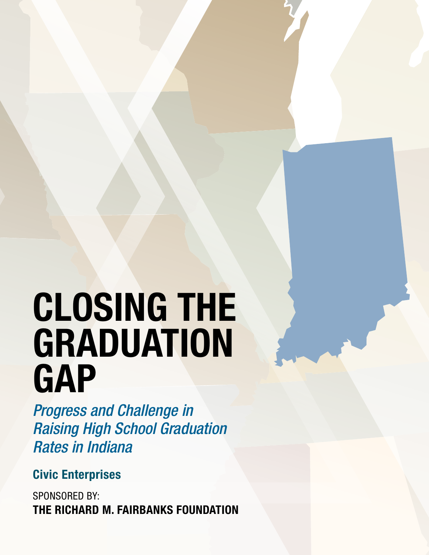# **CLOSING THE GRADUATION GAP**

*Progress and Challenge in Raising High School Graduation Rates in Indiana*

# **Civic Enterprises**

SPONSORED BY: **THE RICHARD M. FAIRBANKS FOUNDATION**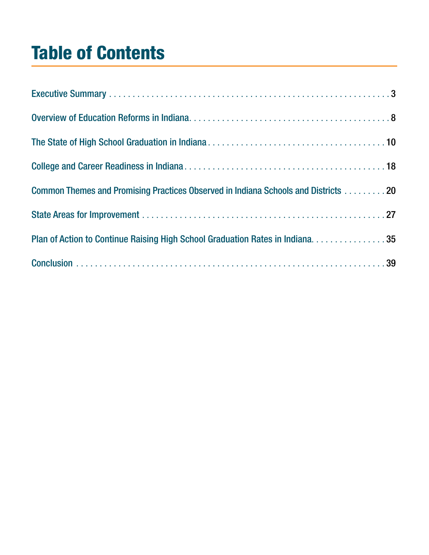# Table of Contents

| Common Themes and Promising Practices Observed in Indiana Schools and Districts 20 |  |
|------------------------------------------------------------------------------------|--|
|                                                                                    |  |
| Plan of Action to Continue Raising High School Graduation Rates in Indiana. 35     |  |
|                                                                                    |  |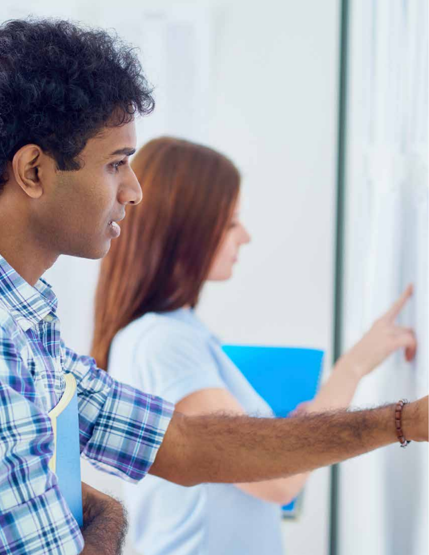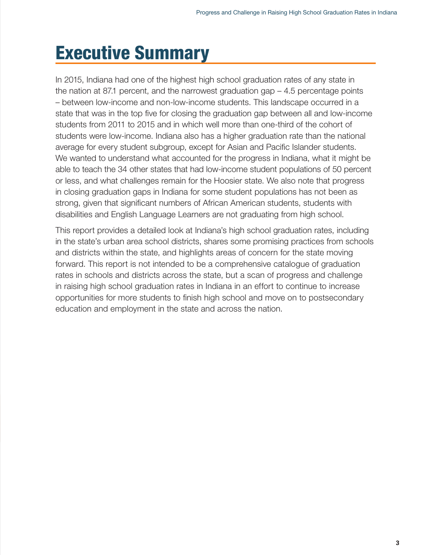# Executive Summary

In 2015, Indiana had one of the highest high school graduation rates of any state in the nation at 87.1 percent, and the narrowest graduation gap – 4.5 percentage points – between low-income and non-low-income students. This landscape occurred in a state that was in the top five for closing the graduation gap between all and low-income students from 2011 to 2015 and in which well more than one-third of the cohort of students were low-income. Indiana also has a higher graduation rate than the national average for every student subgroup, except for Asian and Pacific Islander students. We wanted to understand what accounted for the progress in Indiana, what it might be able to teach the 34 other states that had low-income student populations of 50 percent or less, and what challenges remain for the Hoosier state. We also note that progress in closing graduation gaps in Indiana for some student populations has not been as strong, given that significant numbers of African American students, students with disabilities and English Language Learners are not graduating from high school.

This report provides a detailed look at Indiana's high school graduation rates, including in the state's urban area school districts, shares some promising practices from schools and districts within the state, and highlights areas of concern for the state moving forward. This report is not intended to be a comprehensive catalogue of graduation rates in schools and districts across the state, but a scan of progress and challenge in raising high school graduation rates in Indiana in an effort to continue to increase opportunities for more students to finish high school and move on to postsecondary education and employment in the state and across the nation.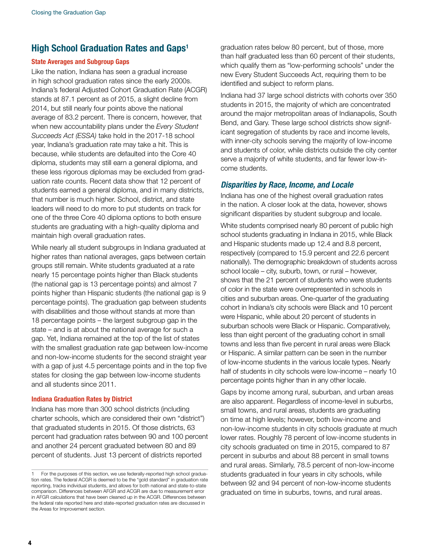# **High School Graduation Rates and Gaps1**

### **State Averages and Subgroup Gaps**

Like the nation, Indiana has seen a gradual increase in high school graduation rates since the early 2000s. Indiana's federal Adjusted Cohort Graduation Rate (ACGR) stands at 87.1 percent as of 2015, a slight decline from 2014, but still nearly four points above the national average of 83.2 percent. There is concern, however, that when new accountability plans under the *Every Student Succeeds Act (ESSA)* take hold in the 2017-18 school year, Indiana's graduation rate may take a hit. This is because, while students are defaulted into the Core 40 diploma, students may still earn a general diploma, and these less rigorous diplomas may be excluded from graduation rate counts. Recent data show that 12 percent of students earned a general diploma, and in many districts, that number is much higher. School, district, and state leaders will need to do more to put students on track for one of the three Core 40 diploma options to both ensure students are graduating with a high-quality diploma and maintain high overall graduation rates.

While nearly all student subgroups in Indiana graduated at higher rates than national averages, gaps between certain groups still remain. White students graduated at a rate nearly 15 percentage points higher than Black students (the national gap is 13 percentage points) and almost 7 points higher than Hispanic students (the national gap is 9 percentage points). The graduation gap between students with disabilities and those without stands at more than 18 percentage points – the largest subgroup gap in the state – and is at about the national average for such a gap. Yet, Indiana remained at the top of the list of states with the smallest graduation rate gap between low-income and non-low-income students for the second straight year with a gap of just 4.5 percentage points and in the top five states for closing the gap between low-income students and all students since 2011.

### **Indiana Graduation Rates by District**

Indiana has more than 300 school districts (including charter schools, which are considered their own "district") that graduated students in 2015. Of those districts, 63 percent had graduation rates between 90 and 100 percent and another 24 percent graduated between 80 and 89 percent of students. Just 13 percent of districts reported

graduation rates below 80 percent, but of those, more than half graduated less than 60 percent of their students, which qualify them as "low-performing schools" under the new Every Student Succeeds Act, requiring them to be identified and subject to reform plans.

Indiana had 37 large school districts with cohorts over 350 students in 2015, the majority of which are concentrated around the major metropolitan areas of Indianapolis, South Bend, and Gary. These large school districts show significant segregation of students by race and income levels, with inner-city schools serving the majority of low-income and students of color, while districts outside the city center serve a majority of white students, and far fewer low-income students.

### *Disparities by Race, Income, and Locale*

Indiana has one of the highest overall graduation rates in the nation. A closer look at the data, however, shows significant disparities by student subgroup and locale.

White students comprised nearly 80 percent of public high school students graduating in Indiana in 2015, while Black and Hispanic students made up 12.4 and 8.8 percent, respectively (compared to 15.9 percent and 22.6 percent nationally). The demographic breakdown of students across school locale – city, suburb, town, or rural – however, shows that the 21 percent of students who were students of color in the state were overrepresented in schools in cities and suburban areas. One-quarter of the graduating cohort in Indiana's city schools were Black and 10 percent were Hispanic, while about 20 percent of students in suburban schools were Black or Hispanic. Comparatively, less than eight percent of the graduating cohort in small towns and less than five percent in rural areas were Black or Hispanic. A similar pattern can be seen in the number of low-income students in the various locale types. Nearly half of students in city schools were low-income – nearly 10 percentage points higher than in any other locale.

Gaps by income among rural, suburban, and urban areas are also apparent. Regardless of income-level in suburbs, small towns, and rural areas, students are graduating on time at high levels; however, both low-income and non-low-income students in city schools graduate at much lower rates. Roughly 78 percent of low-income students in city schools graduated on time in 2015, compared to 87 percent in suburbs and about 88 percent in small towns and rural areas. Similarly, 78.5 percent of non-low-income students graduated in four years in city schools, while between 92 and 94 percent of non-low-income students graduated on time in suburbs, towns, and rural areas.

<sup>1</sup> For the purposes of this section, we use federally-reported high school graduation rates. The federal ACGR is deemed to be the "gold standard" in graduation rate reporting, tracks individual students, and allows for both national and state-to-state comparison. Differences between AFGR and ACGR are due to measurement error in AFGR calculations that have been cleaned up in the ACGR. Differences between the federal rate reported here and state-reported graduation rates are discussed in the Areas for Improvement section.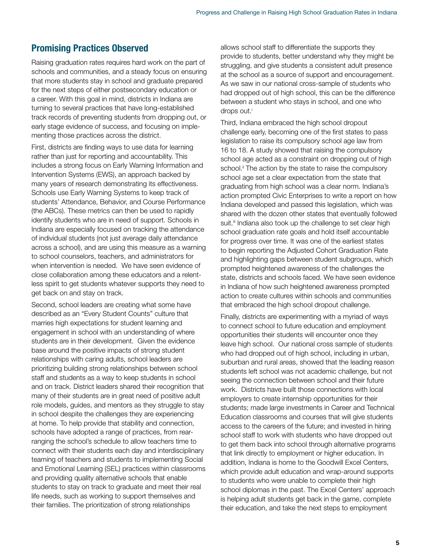# **Promising Practices Observed**

Raising graduation rates requires hard work on the part of schools and communities, and a steady focus on ensuring that more students stay in school and graduate prepared for the next steps of either postsecondary education or a career. With this goal in mind, districts in Indiana are turning to several practices that have long-established track records of preventing students from dropping out, or early stage evidence of success, and focusing on implementing those practices across the district.

First, districts are finding ways to use data for learning rather than just for reporting and accountability. This includes a strong focus on Early Warning Information and Intervention Systems (EWS), an approach backed by many years of research demonstrating its effectiveness. Schools use Early Warning Systems to keep track of students' Attendance, Behavior, and Course Performance (the ABCs). These metrics can then be used to rapidly identify students who are in need of support. Schools in Indiana are especially focused on tracking the attendance of individual students (not just average daily attendance across a school), and are using this measure as a warning to school counselors, teachers, and administrators for when intervention is needed. We have seen evidence of close collaboration among these educators and a relentless spirit to get students whatever supports they need to get back on and stay on track.

Second, school leaders are creating what some have described as an "Every Student Counts" culture that marries high expectations for student learning and engagement in school with an understanding of where students are in their development. Given the evidence base around the positive impacts of strong student relationships with caring adults, school leaders are prioritizing building strong relationships between school staff and students as a way to keep students in school and on track. District leaders shared their recognition that many of their students are in great need of positive adult role models, guides, and mentors as they struggle to stay in school despite the challenges they are experiencing at home. To help provide that stability and connection, schools have adopted a range of practices, from rearranging the school's schedule to allow teachers time to connect with their students each day and interdisciplinary teaming of teachers and students to implementing Social and Emotional Learning (SEL) practices within classrooms and providing quality alternative schools that enable students to stay on track to graduate and meet their real life needs, such as working to support themselves and their families. The prioritization of strong relationships

allows school staff to differentiate the supports they provide to students, better understand why they might be struggling, and give students a consistent adult presence at the school as a source of support and encouragement. As we saw in our national cross-sample of students who had dropped out of high school, this can be the difference between a student who stays in school, and one who drops out.<sup>i</sup>

Third, Indiana embraced the high school dropout challenge early, becoming one of the first states to pass legislation to raise its compulsory school age law from 16 to 18. A study showed that raising the compulsory school age acted as a constraint on dropping out of high school.<sup>ii</sup> The action by the state to raise the compulsory school age set a clear expectation from the state that graduating from high school was a clear norm. Indiana's action prompted Civic Enterprises to write a report on how Indiana developed and passed this legislation, which was shared with the dozen other states that eventually followed suit.<sup>ii</sup> Indiana also took up the challenge to set clear high school graduation rate goals and hold itself accountable for progress over time. It was one of the earliest states to begin reporting the Adjusted Cohort Graduation Rate and highlighting gaps between student subgroups, which prompted heightened awareness of the challenges the state, districts and schools faced. We have seen evidence in Indiana of how such heightened awareness prompted action to create cultures within schools and communities that embraced the high school dropout challenge.

Finally, districts are experimenting with a myriad of ways to connect school to future education and employment opportunities their students will encounter once they leave high school. Our national cross sample of students who had dropped out of high school, including in urban, suburban and rural areas, showed that the leading reason students left school was not academic challenge, but not seeing the connection between school and their future work. Districts have built those connections with local employers to create internship opportunities for their students; made large investments in Career and Technical Education classrooms and courses that will give students access to the careers of the future; and invested in hiring school staff to work with students who have dropped out to get them back into school through alternative programs that link directly to employment or higher education. In addition, Indiana is home to the Goodwill Excel Centers, which provide adult education and wrap-around supports to students who were unable to complete their high school diplomas in the past. The Excel Centers' approach is helping adult students get back in the game, complete their education, and take the next steps to employment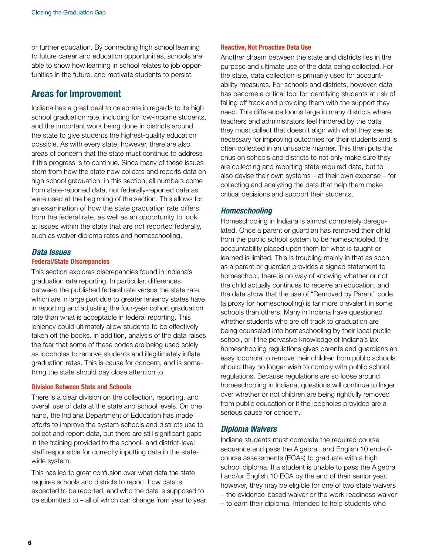or further education. By connecting high school learning to future career and education opportunities, schools are able to show how learning in school relates to job opportunities in the future, and motivate students to persist.

# **Areas for Improvement**

Indiana has a great deal to celebrate in regards to its high school graduation rate, including for low-income students, and the important work being done in districts around the state to give students the highest-quality education possible. As with every state, however, there are also areas of concern that the state must continue to address if this progress is to continue. Since many of these issues stem from how the state now collects and reports data on high school graduation, in this section, all numbers come from state-reported data, not federally-reported data as were used at the beginning of the section. This allows for an examination of how the state graduation rate differs from the federal rate, as well as an opportunity to look at issues within the state that are not reported federally, such as waiver diploma rates and homeschooling.

### *Data Issues* **Federal/State Discrepancies**

This section explores discrepancies found in Indiana's graduation rate reporting. In particular, differences between the published federal rate versus the state rate, which are in large part due to greater leniency states have in reporting and adjusting the four-year cohort graduation rate than what is acceptable in federal reporting. This leniency could ultimately allow students to be effectively taken off the books. In addition, analysis of the data raises the fear that some of these codes are being used solely as loopholes to remove students and illegitimately inflate graduation rates. This is cause for concern, and is something the state should pay close attention to.

### **Division Between State and Schools**

There is a clear division on the collection, reporting, and overall use of data at the state and school levels. On one hand, the Indiana Department of Education has made efforts to improve the system schools and districts use to collect and report data, but there are still significant gaps in the training provided to the school- and district-level staff responsible for correctly inputting data in the statewide system.

This has led to great confusion over what data the state requires schools and districts to report, how data is expected to be reported, and who the data is supposed to be submitted to – all of which can change from year to year.

### **Reactive, Not Proactive Data Use**

Another chasm between the state and districts lies in the purpose and ultimate use of the data being collected. For the state, data collection is primarily used for accountability measures. For schools and districts, however, data has become a critical tool for identifying students at risk of falling off track and providing them with the support they need. This difference looms large in many districts where teachers and administrators feel hindered by the data they must collect that doesn't align with what they see as necessary for improving outcomes for their students and is often collected in an unusable manner. This then puts the onus on schools and districts to not only make sure they are collecting and reporting state-required data, but to also devise their own systems – at their own expense – for collecting and analyzing the data that help them make critical decisions and support their students.

### *Homeschooling*

Homeschooling in Indiana is almost completely deregulated. Once a parent or guardian has removed their child from the public school system to be homeschooled, the accountability placed upon them for what is taught or learned is limited. This is troubling mainly in that as soon as a parent or guardian provides a signed statement to homeschool, there is no way of knowing whether or not the child actually continues to receive an education, and the data show that the use of "Removed by Parent" code (a proxy for homeschooling) is far more prevalent in some schools than others. Many in Indiana have questioned whether students who are off track to graduation are being counseled into homeschooling by their local public school, or if the pervasive knowledge of Indiana's lax homeschooling regulations gives parents and guardians an easy loophole to remove their children from public schools should they no longer wish to comply with public school regulations. Because regulations are so loose around homeschooling in Indiana, questions will continue to linger over whether or not children are being rightfully removed from public education or if the loopholes provided are a serious cause for concern.

### *Diploma Waivers*

Indiana students must complete the required course sequence and pass the Algebra I and English 10 end-ofcourse assessments (ECAs) to graduate with a high school diploma. If a student is unable to pass the Algebra I and/or English 10 ECA by the end of their senior year, however, they may be eligible for one of two state waivers – the evidence-based waiver or the work readiness waiver – to earn their diploma. Intended to help students who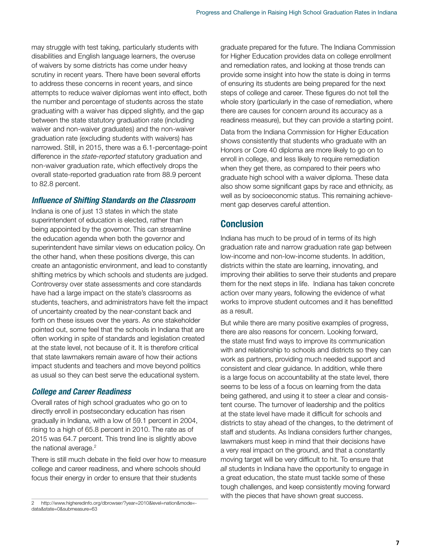may struggle with test taking, particularly students with disabilities and English language learners, the overuse of waivers by some districts has come under heavy scrutiny in recent years. There have been several efforts to address these concerns in recent years, and since attempts to reduce waiver diplomas went into effect, both the number and percentage of students across the state graduating with a waiver has dipped slightly, and the gap between the state statutory graduation rate (including waiver and non-waiver graduates) and the non-waiver graduation rate (excluding students with waivers) has narrowed. Still, in 2015, there was a 6.1-percentage-point difference in the *state-reported* statutory graduation and non-waiver graduation rate, which effectively drops the overall state-reported graduation rate from 88.9 percent to 82.8 percent.

### *Influence of Shifting Standards on the Classroom*

Indiana is one of just 13 states in which the state superintendent of education is elected, rather than being appointed by the governor. This can streamline the education agenda when both the governor and superintendent have similar views on education policy. On the other hand, when these positions diverge, this can create an antagonistic environment, and lead to constantly shifting metrics by which schools and students are judged. Controversy over state assessments and core standards have had a large impact on the state's classrooms as students, teachers, and administrators have felt the impact of uncertainty created by the near-constant back and forth on these issues over the years. As one stakeholder pointed out, some feel that the schools in Indiana that are often working in spite of standards and legislation created at the state level, not because of it. It is therefore critical that state lawmakers remain aware of how their actions impact students and teachers and move beyond politics as usual so they can best serve the educational system.

### *College and Career Readiness*

Overall rates of high school graduates who go on to directly enroll in postsecondary education has risen gradually in Indiana, with a low of 59.1 percent in 2004, rising to a high of 65.8 percent in 2010. The rate as of 2015 was 64.7 percent. This trend line is slightly above the national average.<sup>2</sup>

There is still much debate in the field over how to measure college and career readiness, and where schools should focus their energy in order to ensure that their students

graduate prepared for the future. The Indiana Commission for Higher Education provides data on college enrollment and remediation rates, and looking at those trends can provide some insight into how the state is doing in terms of ensuring its students are being prepared for the next steps of college and career. These figures do not tell the whole story (particularly in the case of remediation, where there are causes for concern around its accuracy as a readiness measure), but they can provide a starting point.

Data from the Indiana Commission for Higher Education shows consistently that students who graduate with an Honors or Core 40 diploma are more likely to go on to enroll in college, and less likely to require remediation when they get there, as compared to their peers who graduate high school with a waiver diploma. These data also show some significant gaps by race and ethnicity, as well as by socioeconomic status. This remaining achievement gap deserves careful attention.

# **Conclusion**

Indiana has much to be proud of in terms of its high graduation rate and narrow graduation rate gap between low-income and non-low-income students. In addition, districts within the state are learning, innovating, and improving their abilities to serve their students and prepare them for the next steps in life. Indiana has taken concrete action over many years, following the evidence of what works to improve student outcomes and it has benefitted as a result.

But while there are many positive examples of progress, there are also reasons for concern. Looking forward, the state must find ways to improve its communication with and relationship to schools and districts so they can work as partners, providing much needed support and consistent and clear guidance. In addition, while there is a large focus on accountability at the state level, there seems to be less of a focus on learning from the data being gathered, and using it to steer a clear and consistent course. The turnover of leadership and the politics at the state level have made it difficult for schools and districts to stay ahead of the changes, to the detriment of staff and students. As Indiana considers further changes, lawmakers must keep in mind that their decisions have a very real impact on the ground, and that a constantly moving target will be very difficult to hit. To ensure that *all* students in Indiana have the opportunity to engage in a great education, the state must tackle some of these tough challenges, and keep consistently moving forward with the pieces that have shown great success.

<sup>2</sup> http://www.higheredinfo.org/dbrowser/?year=2010&level=nation&mode= data&state=0&submeasure=63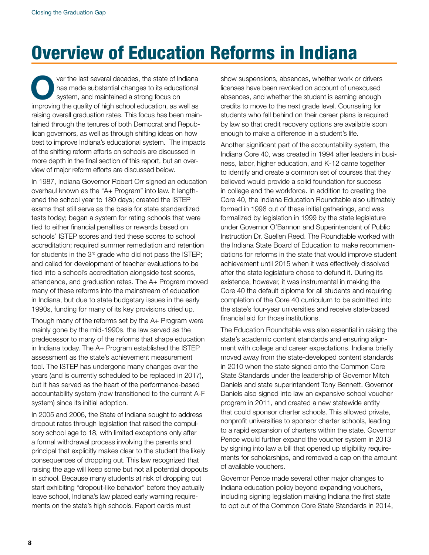# Overview of Education Reforms in Indiana

Ver the last several decades, the state of Indiana<br>has made substantial changes to its educational<br>system, and maintained a strong focus on has made substantial changes to its educational system, and maintained a strong focus on improving the quality of high school education, as well as raising overall graduation rates. This focus has been maintained through the tenures of both Democrat and Republican governors, as well as through shifting ideas on how best to improve Indiana's educational system. The impacts of the shifting reform efforts on schools are discussed in more depth in the final section of this report, but an overview of major reform efforts are discussed below.

In 1987, Indiana Governor Robert Orr signed an education overhaul known as the "A+ Program" into law. It lengthened the school year to 180 days; created the ISTEP exams that still serve as the basis for state standardized tests today; began a system for rating schools that were tied to either financial penalties or rewards based on schools' ISTEP scores and tied these scores to school accreditation; required summer remediation and retention for students in the  $3<sup>rd</sup>$  grade who did not pass the ISTEP; and called for development of teacher evaluations to be tied into a school's accreditation alongside test scores, attendance, and graduation rates. The A+ Program moved many of these reforms into the mainstream of education in Indiana, but due to state budgetary issues in the early 1990s, funding for many of its key provisions dried up.

Though many of the reforms set by the A+ Program were mainly gone by the mid-1990s, the law served as the predecessor to many of the reforms that shape education in Indiana today. The A+ Program established the ISTEP assessment as the state's achievement measurement tool. The ISTEP has undergone many changes over the years (and is currently scheduled to be replaced in 2017), but it has served as the heart of the performance-based accountability system (now transitioned to the current A-F system) since its initial adoption.

In 2005 and 2006, the State of Indiana sought to address dropout rates through legislation that raised the compulsory school age to 18, with limited exceptions only after a formal withdrawal process involving the parents and principal that explicitly makes clear to the student the likely consequences of dropping out. This law recognized that raising the age will keep some but not all potential dropouts in school. Because many students at risk of dropping out start exhibiting "dropout-like behavior" before they actually leave school, Indiana's law placed early warning requirements on the state's high schools. Report cards must

show suspensions, absences, whether work or drivers licenses have been revoked on account of unexcused absences, and whether the student is earning enough credits to move to the next grade level. Counseling for students who fall behind on their career plans is required by law so that credit recovery options are available soon enough to make a difference in a student's life.

Another significant part of the accountability system, the Indiana Core 40, was created in 1994 after leaders in business, labor, higher education, and K-12 came together to identify and create a common set of courses that they believed would provide a solid foundation for success in college and the workforce. In addition to creating the Core 40, the Indiana Education Roundtable also ultimately formed in 1998 out of these initial gatherings, and was formalized by legislation in 1999 by the state legislature under Governor O'Bannon and Superintendent of Public Instruction Dr. Suellen Reed. The Roundtable worked with the Indiana State Board of Education to make recommendations for reforms in the state that would improve student achievement until 2015 when it was effectively dissolved after the state legislature chose to defund it. During its existence, however, it was instrumental in making the Core 40 the default diploma for all students and requiring completion of the Core 40 curriculum to be admitted into the state's four-year universities and receive state-based financial aid for those institutions.

The Education Roundtable was also essential in raising the state's academic content standards and ensuring alignment with college and career expectations. Indiana briefly moved away from the state-developed content standards in 2010 when the state signed onto the Common Core State Standards under the leadership of Governor Mitch Daniels and state superintendent Tony Bennett. Governor Daniels also signed into law an expansive school voucher program in 2011, and created a new statewide entity that could sponsor charter schools. This allowed private, nonprofit universities to sponsor charter schools, leading to a rapid expansion of charters within the state. Governor Pence would further expand the voucher system in 2013 by signing into law a bill that opened up eligibility requirements for scholarships, and removed a cap on the amount of available vouchers.

Governor Pence made several other major changes to Indiana education policy beyond expanding vouchers, including signing legislation making Indiana the first state to opt out of the Common Core State Standards in 2014,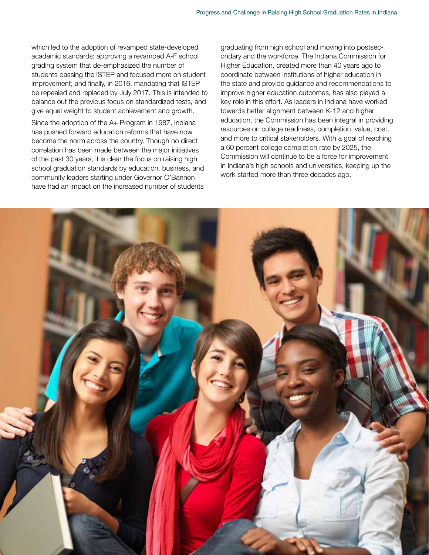which led to the adoption of revamped state-developed academic standards; approving a revamped A-F school grading system that de-emphasized the number of students passing the ISTEP and focused more on student improvement; and finally, in 2016, mandating that ISTEP be repealed and replaced by July 2017. This is intended to balance out the previous focus on standardized tests, and give equal weight to student achievement and growth.

Since the adoption of the A+ Program in 1987, Indiana has pushed forward education reforms that have now become the norm across the country. Though no direct correlation has been made between the major initiatives of the past 30 years, it is clear the focus on raising high school graduation standards by education, business, and community leaders starting under Governor O'Bannon have had an impact on the increased number of students

graduating from high school and moving into postsecondary and the workforce. The Indiana Commission for Higher Education, created more than 40 years ago to coordinate between institutions of higher education in the state and provide guidance and recommendations to improve higher education outcomes, has also played a key role in this effort. As leaders in Indiana have worked towards better alignment between K-12 and higher education, the Commission has been integral in providing resources on college readiness, completion, value, cost, and more to critical stakeholders. With a goal of reaching a 60 percent college completion rate by 2025, the Commission will continue to be a force for improvement in Indiana's high schools and universities, keeping up the work started more than three decades ago.

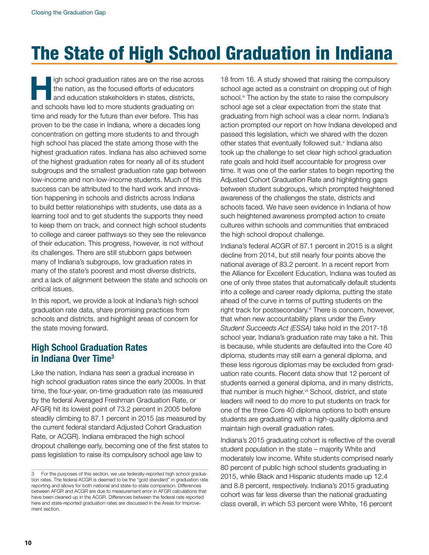# The State of High School Graduation in Indiana

**H** igh school graduation rates are on the rise across the nation, as the focused efforts of educators and education stakeholders in states, districts, and schools have led to more students graduating on time and ready for the future than ever before. This has proven to be the case in Indiana, where a decades long concentration on getting more students to and through high school has placed the state among those with the highest graduation rates. Indiana has also achieved some of the highest graduation rates for nearly all of its student subgroups and the smallest graduation rate gap between low-income and non-low-income students. Much of this success can be attributed to the hard work and innovation happening in schools and districts across Indiana to build better relationships with students, use data as a learning tool and to get students the supports they need to keep them on track, and connect high school students to college and career pathways so they see the relevance of their education. This progress, however, is not without its challenges. There are still stubborn gaps between many of Indiana's subgroups, low graduation rates in many of the state's poorest and most diverse districts, and a lack of alignment between the state and schools on critical issues.

In this report, we provide a look at Indiana's high school graduation rate data, share promising practices from schools and districts, and highlight areas of concern for the state moving forward.

# **High School Graduation Rates in Indiana Over Time3**

Like the nation, Indiana has seen a gradual increase in high school graduation rates since the early 2000s. In that time, the four-year, on-time graduation rate (as measured by the federal Averaged Freshman Graduation Rate, or AFGR) hit its lowest point of 73.2 percent in 2005 before steadily climbing to 87.1 percent in 2015 (as measured by the current federal standard Adjusted Cohort Graduation Rate, or ACGR). Indiana embraced the high school dropout challenge early, becoming one of the first states to pass legislation to raise its compulsory school age law to

18 from 16. A study showed that raising the compulsory school age acted as a constraint on dropping out of high school.<sup>\*</sup> The action by the state to raise the compulsory school age set a clear expectation from the state that graduating from high school was a clear norm. Indiana's action prompted our report on how Indiana developed and passed this legislation, which we shared with the dozen other states that eventually followed suit.<sup>v</sup> Indiana also took up the challenge to set clear high school graduation rate goals and hold itself accountable for progress over time. It was one of the earlier states to begin reporting the Adjusted Cohort Graduation Rate and highlighting gaps between student subgroups, which prompted heightened awareness of the challenges the state, districts and schools faced. We have seen evidence in Indiana of how such heightened awareness prompted action to create cultures within schools and communities that embraced the high school dropout challenge.

Indiana's federal ACGR of 87.1 percent in 2015 is a slight decline from 2014, but still nearly four points above the national average of 83.2 percent. In a recent report from the Alliance for Excellent Education, Indiana was touted as one of only three states that automatically default students into a college and career ready diploma, putting the state ahead of the curve in terms of putting students on the right track for postsecondary.<sup>vi</sup> There is concern, however, that when new accountability plans under the *Every Student Succeeds Act (ESSA)* take hold in the 2017-18 school year, Indiana's graduation rate may take a hit. This is because, while students are defaulted into the Core 40 diploma, students may still earn a general diploma, and these less rigorous diplomas may be excluded from graduation rate counts. Recent data show that 12 percent of students earned a general diploma, and in many districts, that number is much higher.<sup>vii</sup> School, district, and state leaders will need to do more to put students on track for one of the three Core 40 diploma options to both ensure students are graduating with a high-quality diploma and maintain high overall graduation rates.

Indiana's 2015 graduating cohort is reflective of the overall student population in the state – majority White and moderately low income. White students comprised nearly 80 percent of public high school students graduating in 2015, while Black and Hispanic students made up 12.4 and 8.8 percent, respectively. Indiana's 2015 graduating cohort was far less diverse than the national graduating class overall, in which 53 percent were White, 16 percent

<sup>3</sup> For the purposes of this section, we use federally-reported high school graduation rates. The federal ACGR is deemed to be the "gold standard" in graduation rate reporting and allows for both national and state-to-state comparison. Differences between AFGR and ACGR are due to measurement error in AFGR calculations that have been cleaned up in the ACGR. Differences between the federal rate reported here and state-reported graduation rates are discussed in the Areas for Improvement section.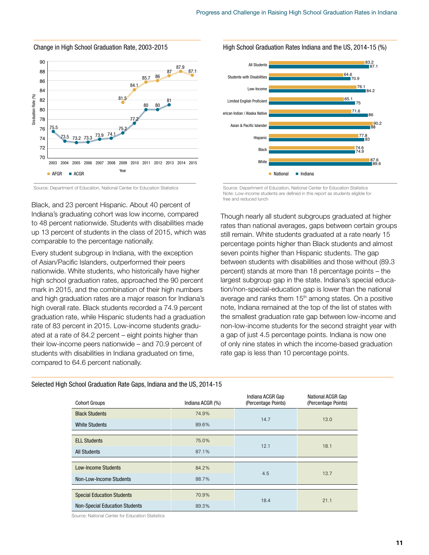

#### Change in High School Graduation Rate, 2003-2015

Source: Department of Education, National Center for Education Statistics

Black, and 23 percent Hispanic. About 40 percent of Indiana's graduating cohort was low income, compared to 48 percent nationwide. Students with disabilities made up 13 percent of students in the class of 2015, which was comparable to the percentage nationally.

Every student subgroup in Indiana, with the exception of Asian/Pacific Islanders, outperformed their peers nationwide. White students, who historically have higher high school graduation rates, approached the 90 percent mark in 2015, and the combination of their high numbers and high graduation rates are a major reason for Indiana's high overall rate. Black students recorded a 74.9 percent graduation rate, while Hispanic students had a graduation rate of 83 percent in 2015. Low-income students graduated at a rate of 84.2 percent – eight points higher than their low-income peers nationwide – and 70.9 percent of students with disabilities in Indiana graduated on time, compared to 64.6 percent nationally.

High School Graduation Rates Indiana and the US, 2014-15 (%)



Source: Department of Education, National Center for Education Statistics Note: Low-income students are defined in this report as students eligible for free and reduced lunch

Though nearly all student subgroups graduated at higher rates than national averages, gaps between certain groups still remain. White students graduated at a rate nearly 15 percentage points higher than Black students and almost seven points higher than Hispanic students. The gap between students with disabilities and those without (89.3 percent) stands at more than 18 percentage points – the largest subgroup gap in the state. Indiana's special education/non-special-education gap is lower than the national average and ranks them  $15<sup>th</sup>$  among states. On a positive note, Indiana remained at the top of the list of states with the smallest graduation rate gap between low-income and non-low-income students for the second straight year with a gap of just 4.5 percentage points. Indiana is now one of only nine states in which the income-based graduation rate gap is less than 10 percentage points.

| <b>Cohort Groups</b>                  | Indiana ACGR (%) | Indiana ACGR Gap<br>(Percentage Points) | National ACGR Gap<br>(Percentage Points) |  |
|---------------------------------------|------------------|-----------------------------------------|------------------------------------------|--|
| <b>Black Students</b>                 | 74.9%            | 14.7                                    | 13.0                                     |  |
| <b>White Students</b>                 | 89.6%            |                                         |                                          |  |
| <b>ELL Students</b>                   | 75.0%            |                                         |                                          |  |
| <b>All Students</b>                   | 87.1%            | 12.1                                    | 18.1                                     |  |
| <b>Low-Income Students</b>            | 84.2%            | 4.5                                     | 13.7                                     |  |
| Non-Low-Income Students               | 88.7%            |                                         |                                          |  |
|                                       |                  |                                         |                                          |  |
| <b>Special Education Students</b>     | 70.9%            | 18.4                                    | 21.1                                     |  |
| <b>Non-Special Education Students</b> | 89.3%            |                                         |                                          |  |

#### Selected High School Graduation Rate Gaps, Indiana and the US, 2014-15

Source: National Center for Education Statistics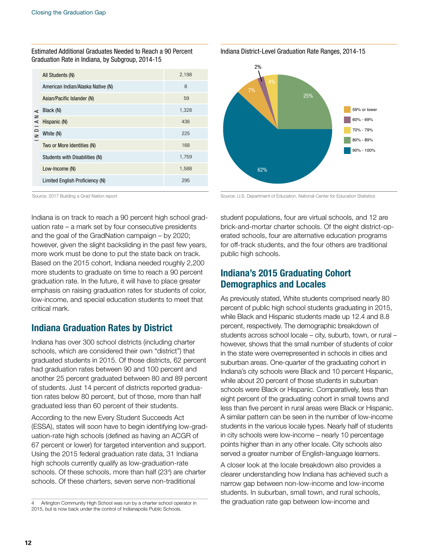Estimated Additional Graduates Needed to Reach a 90 Percent Graduation Rate in Indiana, by Subgroup, 2014-15

|              | All Students (N)                  | 2,198 |
|--------------|-----------------------------------|-------|
|              | American Indian/Alaska Native (N) | 8     |
|              | Asian/Pacific Islander (N)        | 59    |
| ⊄            | Black (N)                         | 1,328 |
| z<br>$\prec$ | Hispanic (N)                      | 436   |
| ≏<br>$\geq$  | White (N)                         | 225   |
|              | Two or More Identities (N)        | 168   |
|              | Students with Disabilities (N)    | 1,759 |
|              | Low-Income (N)                    | 1,588 |
|              | Limited English Proficiency (N)   | 295   |
|              |                                   |       |

Indiana District-Level Graduation Rate Ranges, 2014-15



Indiana is on track to reach a 90 percent high school graduation rate – a mark set by four consecutive presidents and the goal of the GradNation campaign – by 2020; however, given the slight backsliding in the past few years, more work must be done to put the state back on track. Based on the 2015 cohort, Indiana needed roughly 2,200 more students to graduate on time to reach a 90 percent graduation rate. In the future, it will have to place greater emphasis on raising graduation rates for students of color, low-income, and special education students to meet that critical mark.

# **Indiana Graduation Rates by District**

Indiana has over 300 school districts (including charter schools, which are considered their own "district") that graduated students in 2015. Of those districts, 62 percent had graduation rates between 90 and 100 percent and another 25 percent graduated between 80 and 89 percent of students. Just 14 percent of districts reported graduation rates below 80 percent, but of those, more than half graduated less than 60 percent of their students.

According to the new Every Student Succeeds Act (ESSA), states will soon have to begin identifying low-graduation-rate high schools (defined as having an ACGR of 67 percent or lower) for targeted intervention and support. Using the 2015 federal graduation rate data, 31 Indiana high schools currently qualify as low-graduation-rate schools. Of these schools, more than half (23<sup>4</sup>) are charter schools. Of these charters, seven serve non-traditional

Source: 2017 Building a Grad Nation report Source: U.S. Department of Education, National Center for Education Statistics

student populations, four are virtual schools, and 12 are brick-and-mortar charter schools. Of the eight district-operated schools, four are alternative education programs for off-track students, and the four others are traditional public high schools.

# **Indiana's 2015 Graduating Cohort Demographics and Locales**

As previously stated, White students comprised nearly 80 percent of public high school students graduating in 2015, while Black and Hispanic students made up 12.4 and 8.8 percent, respectively. The demographic breakdown of students across school locale – city, suburb, town, or rural – however, shows that the small number of students of color in the state were overrepresented in schools in cities and suburban areas. One-quarter of the graduating cohort in Indiana's city schools were Black and 10 percent Hispanic, while about 20 percent of those students in suburban schools were Black or Hispanic. Comparatively, less than eight percent of the graduating cohort in small towns and less than five percent in rural areas were Black or Hispanic. A similar pattern can be seen in the number of low-income students in the various locale types. Nearly half of students in city schools were low-income – nearly 10 percentage points higher than in any other locale. City schools also served a greater number of English-language learners.

A closer look at the locale breakdown also provides a clearer understanding how Indiana has achieved such a narrow gap between non-low-income and low-income students. In suburban, small town, and rural schools, the graduation rate gap between low-income and

Arlington Community High School was run by a charter school operator in 2015, but is now back under the control of Indianapolis Public Schools.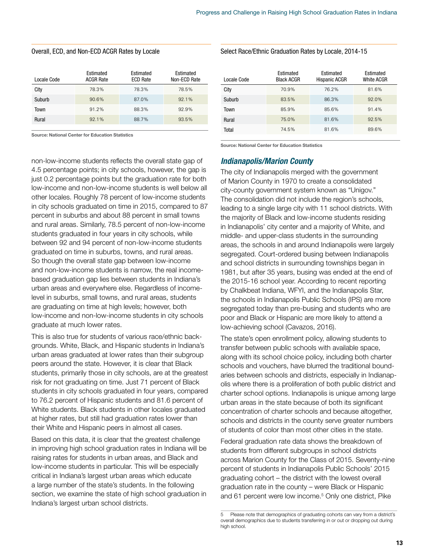#### Overall, ECD, and Non-ECD ACGR Rates by Locale

| Locale Code | Estimated<br><b>ACGR Rate</b> | Estimated<br><b>ECD Rate</b> | Estimated<br>Non-ECD Rate |
|-------------|-------------------------------|------------------------------|---------------------------|
| City        | 78.3%                         | 78.3%                        | 78.5%                     |
| Suburb      | 90.6%                         | 87.0%                        | 92.1%                     |
| Town        | 91.2%                         | 88.3%                        | 92.9%                     |
| Rural       | $92.1\%$                      | 88.7%                        | 93.5%                     |

**Source: National Center for Education Statistics**

non-low-income students reflects the overall state gap of 4.5 percentage points; in city schools, however, the gap is just 0.2 percentage points but the graduation rate for both low-income and non-low-income students is well below all other locales. Roughly 78 percent of low-income students in city schools graduated on time in 2015, compared to 87 percent in suburbs and about 88 percent in small towns and rural areas. Similarly, 78.5 percent of non-low-income students graduated in four years in city schools, while between 92 and 94 percent of non-low-income students graduated on time in suburbs, towns, and rural areas. So though the overall state gap between low-income and non-low-income students is narrow, the real incomebased graduation gap lies between students in Indiana's urban areas and everywhere else. Regardless of incomelevel in suburbs, small towns, and rural areas, students are graduating on time at high levels; however, both low-income and non-low-income students in city schools graduate at much lower rates.

This is also true for students of various race/ethnic backgrounds. White, Black, and Hispanic students in Indiana's urban areas graduated at lower rates than their subgroup peers around the state. However, it is clear that Black students, primarily those in city schools, are at the greatest risk for not graduating on time. Just 71 percent of Black students in city schools graduated in four years, compared to 76.2 percent of Hispanic students and 81.6 percent of White students. Black students in other locales graduated at higher rates, but still had graduation rates lower than their White and Hispanic peers in almost all cases.

Based on this data, it is clear that the greatest challenge in improving high school graduation rates in Indiana will be raising rates for students in urban areas, and Black and low-income students in particular. This will be especially critical in Indiana's largest urban areas which educate a large number of the state's students. In the following section, we examine the state of high school graduation in Indiana's largest urban school districts.

#### Select Race/Ethnic Graduation Rates by Locale, 2014-15

| Locale Code | Estimated<br><b>Black ACGR</b> | Estimated<br><b>Hispanic ACGR</b> | Estimated<br><b>White ACGR</b> |
|-------------|--------------------------------|-----------------------------------|--------------------------------|
| City        | 70.9%                          | 76.2%                             | 81.6%                          |
| Suburb      | 83.5%                          | 86.3%                             | $92.0\%$                       |
| Town        | 85.9%                          | 85.6%                             | 91.4%                          |
| Rural       | 75.0%                          | 81.6%                             | 92.5%                          |
| Total       | 74.5%                          | 81.6%                             | 89.6%                          |

**Source: National Center for Education Statistics**

### *Indianapolis/Marion County*

The city of Indianapolis merged with the government of Marion County in 1970 to create a consolidated city-county government system known as "Unigov." The consolidation did not include the region's schools, leading to a single large city with 11 school districts. With the majority of Black and low-income students residing in Indianapolis' city center and a majority of White, and middle- and upper-class students in the surrounding areas, the schools in and around Indianapolis were largely segregated. Court-ordered busing between Indianapolis and school districts in surrounding townships began in 1981, but after 35 years, busing was ended at the end of the 2015-16 school year. According to recent reporting by Chalkbeat Indiana, WFYI, and the Indianapolis Star, the schools in Indianapolis Public Schools (IPS) are more segregated today than pre-busing and students who are poor and Black or Hispanic are more likely to attend a low-achieving school (Cavazos, 2016).

The state's open enrollment policy, allowing students to transfer between public schools with available space, along with its school choice policy, including both charter schools and vouchers, have blurred the traditional boundaries between schools and districts, especially in Indianapolis where there is a proliferation of both public district and charter school options. Indianapolis is unique among large urban areas in the state because of both its significant concentration of charter schools and because altogether, schools and districts in the county serve greater numbers of students of color than most other cities in the state.

Federal graduation rate data shows the breakdown of students from different subgroups in school districts across Marion County for the Class of 2015. Seventy-nine percent of students in Indianapolis Public Schools' 2015 graduating cohort – the district with the lowest overall graduation rate in the county – were Black or Hispanic and 61 percent were low income.<sup>5</sup> Only one district, Pike

<sup>5</sup> Please note that demographics of graduating cohorts can vary from a district's overall demographics due to students transferring in or out or dropping out during high school.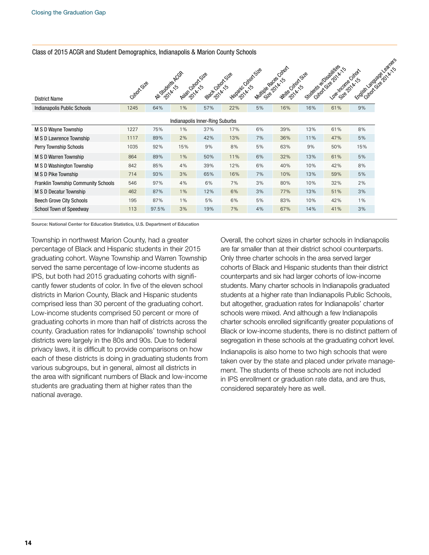| Class of 2015 ACGR and Student Demographics, Indianapolis & Marion County Schools |  |  |
|-----------------------------------------------------------------------------------|--|--|
|-----------------------------------------------------------------------------------|--|--|

|                                            |            |       |                                        |                   |                     |                      |                 |                          |                                          | Ford of Division Reporting to |
|--------------------------------------------|------------|-------|----------------------------------------|-------------------|---------------------|----------------------|-----------------|--------------------------|------------------------------------------|-------------------------------|
|                                            | Conor Sile |       | All Students Acts<br>Asian Caract Size | Black Corror Size | Hispanic Conor Size | Multiple Races Coron | Wite of Artiste | Students with Seattlines | Condrate for Ar 15<br>Low.iteorie.corpor |                               |
| <b>District Name</b>                       |            |       |                                        |                   |                     |                      |                 |                          |                                          |                               |
| Indianapolis Public Schools                | 1245       | 64%   | $1\%$                                  | 57%               | 22%                 | 5%                   | 16%             | 16%                      | 61%                                      | 9%                            |
| Indianapolis Inner-Ring Suburbs            |            |       |                                        |                   |                     |                      |                 |                          |                                          |                               |
| M S D Wayne Township                       | 1227       | 75%   | $1\%$                                  | 37%               | 17%                 | 6%                   | 39%             | 13%                      | 61%                                      | 8%                            |
| M S D Lawrence Township                    | 1117       | 89%   | 2%                                     | 42%               | 13%                 | 7%                   | 36%             | 11%                      | 47%                                      | 5%                            |
| Perry Township Schools                     | 1035       | 92%   | 15%                                    | 9%                | 8%                  | 5%                   | 63%             | 9%                       | 50%                                      | 15%                           |
| M S D Warren Township                      | 864        | 89%   | $1\%$                                  | 50%               | 11%                 | 6%                   | 32%             | 13%                      | 61%                                      | 5%                            |
| M S D Washington Township                  | 842        | 85%   | 4%                                     | 39%               | 12%                 | 6%                   | 40%             | 10%                      | 42%                                      | 8%                            |
| M S D Pike Township                        | 714        | 93%   | 3%                                     | 65%               | 16%                 | 7%                   | 10%             | 13%                      | 59%                                      | 5%                            |
| <b>Franklin Township Community Schools</b> | 546        | 97%   | 4%                                     | 6%                | 7%                  | 3%                   | 80%             | 10%                      | 32%                                      | 2%                            |
| M S D Decatur Township                     | 462        | 87%   | $1\%$                                  | 12%               | 6%                  | 3%                   | 77%             | 13%                      | 51%                                      | 3%                            |
| <b>Beech Grove City Schools</b>            | 195        | 87%   | $1\%$                                  | 5%                | 6%                  | 5%                   | 83%             | 10%                      | 42%                                      | 1%                            |
| <b>School Town of Speedway</b>             | 113        | 97.5% | 3%                                     | 19%               | 7%                  | 4%                   | 67%             | 14%                      | 41%                                      | 3%                            |

**Source: National Center for Education Statistics, U.S. Department of Education**

Township in northwest Marion County, had a greater percentage of Black and Hispanic students in their 2015 graduating cohort. Wayne Township and Warren Township served the same percentage of low-income students as IPS, but both had 2015 graduating cohorts with significantly fewer students of color. In five of the eleven school districts in Marion County, Black and Hispanic students comprised less than 30 percent of the graduating cohort. Low-income students comprised 50 percent or more of graduating cohorts in more than half of districts across the county. Graduation rates for Indianapolis' township school districts were largely in the 80s and 90s. Due to federal privacy laws, it is difficult to provide comparisons on how each of these districts is doing in graduating students from various subgroups, but in general, almost all districts in the area with significant numbers of Black and low-income students are graduating them at higher rates than the national average.

Overall, the cohort sizes in charter schools in Indianapolis are far smaller than at their district school counterparts. Only three charter schools in the area served larger cohorts of Black and Hispanic students than their district counterparts and six had larger cohorts of low-income students. Many charter schools in Indianapolis graduated students at a higher rate than Indianapolis Public Schools, but altogether, graduation rates for Indianapolis' charter schools were mixed. And although a few Indianapolis charter schools enrolled significantly greater populations of Black or low-income students, there is no distinct pattern of segregation in these schools at the graduating cohort level.

Indianapolis is also home to two high schools that were taken over by the state and placed under private management. The students of these schools are not included in IPS enrollment or graduation rate data, and are thus, considered separately here as well.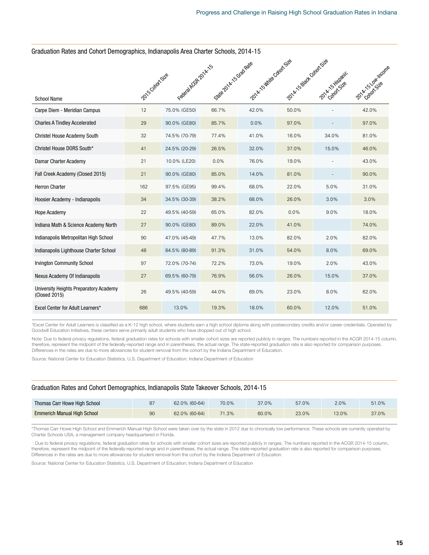| <b>School Name</b>                                      | 2015 Cataccice | Federal Accordings As | State 201 A 15 Grad Rate | 20 A A / Suite Catalogue | 20 A 1/5 Back Congressio | I Condrating | Daniel Bakincome |
|---------------------------------------------------------|----------------|-----------------------|--------------------------|--------------------------|--------------------------|--------------|------------------|
| Carpe Diem - Meridian Campus                            | 12             | 75.0% (GE50)          | 66.7%                    | 42.0%                    | 50.0%                    |              | 42.0%            |
| <b>Charles A Tindley Accelerated</b>                    | 29             | 90.0% (GE80)          | 85.7%                    | 0.0%                     | 97.0%                    |              | 97.0%            |
| <b>Christel House Academy South</b>                     | 32             | 74.5% (70-79)         | 77.4%                    | 41.0%                    | 16.0%                    | 34.0%        | 81.0%            |
| Christel House DORS South*                              | 41             | 24.5% (20-29)         | 26.5%                    | 32.0%                    | 37.0%                    | 15.0%        | 46.0%            |
| Damar Charter Academy                                   | 21             | 10.0% (LE20)          | 0.0%                     | 76.0%                    | 19.0%                    |              | 43.0%            |
| Fall Creek Academy (Closed 2015)                        | 21             | 90.0% (GE80)          | 85.0%                    | 14.0%                    | 81.0%                    |              | 90.0%            |
| <b>Herron Charter</b>                                   | 162            | 97.5% (GE95)          | 99.4%                    | 68.0%                    | 22.0%                    | 5.0%         | 31.0%            |
| Hoosier Academy - Indianapolis                          | 34             | 34.5% (30-39)         | 38.2%                    | 68.0%                    | 26.0%                    | 3.0%         | 3.0%             |
| <b>Hope Academy</b>                                     | 22             | 49.5% (40-59)         | 65.0%                    | 82.0%                    | 0.0%                     | 9.0%         | 18.0%            |
| Indiana Math & Science Academy North                    | 27             | 90.0% (GE80)          | 89.0%                    | 22.0%                    | 41.0%                    |              | 74.0%            |
| Indianapolis Metropolitan High School                   | 90             | 47.0% (45-49)         | 47.7%                    | 13.0%                    | 82.0%                    | 2.0%         | 82.0%            |
| Indianapolis Lighthouse Charter School                  | 48             | 84.5% (80-89)         | 91.3%                    | 31.0%                    | 54.0%                    | 8.0%         | 69.0%            |
| <b>Irvington Community School</b>                       | 97             | 72.0% (70-74)         | 72.2%                    | 73.0%                    | 19.0%                    | 2.0%         | 43.0%            |
| Nexus Academy Of Indianapolis                           | 27             | 69.5% (60-79)         | 76.9%                    | 56.0%                    | 26.0%                    | 15.0%        | 37.0%            |
| University Heights Preparatory Academy<br>(Closed 2015) | 26             | 49.5% (40-59)         | 44.0%                    | 69.0%                    | 23.0%                    | 8.0%         | 62.0%            |
| Excel Center for Adult Learners*                        | 686            | 13.0%                 | 19.3%                    | 18.0%                    | 60.0%                    | 12.0%        | 51.0%            |

Graduation Rates and Cohort Demographics, Indianapolis Area Charter Schools, 2014-15

\*Excel Center for Adult Learners is classified as a K-12 high school, where students earn a high school diploma along with postsecondary credits and/or career credentials. Operated by Goodwill Education Initiatives, these centers serve primarily adult students who have dropped out of high school.

Note: Due to federal privacy regulations, federal graduation rates for schools with smaller cohort sizes are reported publicly in ranges. The numbers reported in the ACGR 2014-15 column, therefore, represent the midpoint of the federally-reported range and in parentheses, the actual range. The state-reported graduation rate is also reported for comparison purposes. Differences in the rates are due to more allowances for student removal from the cohort by the Indiana Department of Education.

Source: National Center for Education Statistics, U.S. Department of Education; Indiana Department of Education

#### Graduation Rates and Cohort Demographics, Indianapolis State Takeover Schools, 2014-15

| Thomas Carr Howe High School       | 87 | 62.0% (60-64) | 70.0% | 37.0% | 57.0% | 2.0%  | 51.0% |
|------------------------------------|----|---------------|-------|-------|-------|-------|-------|
| <b>Emmerich Manual High School</b> | 90 | 62.0% (60-64) | 71.3% | 60.0% | 23.0% | 13.0% | 37.0% |

\*Thomas Carr Howe High School and Emmerich Manual High School were taken over by the state in 2012 due to chronically low performance. These schools are currently operated by Charter Schools USA, a management company headquartered in Florida.

 : Due to federal privacy regulations, federal graduation rates for schools with smaller cohort sizes are reported publicly in ranges. The numbers reported in the ACGR 2014-15 column, therefore, represent the midpoint of the federally-reported range and in parentheses, the actual range. The state-reported graduation rate is also reported for comparison purposes. Differences in the rates are due to more allowances for student removal from the cohort by the Indiana Department of Education.

Source: National Center for Education Statistics, U.S. Department of Education; Indiana Department of Education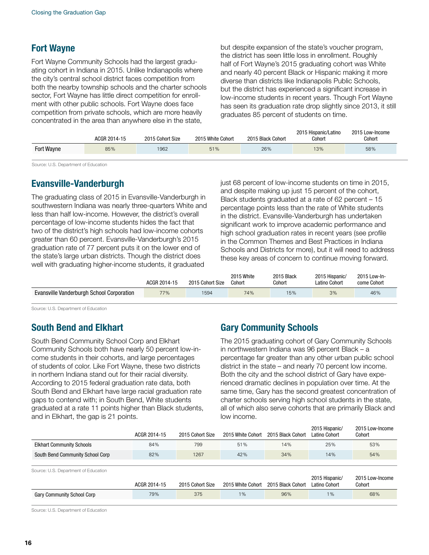# **Fort Wayne**

Fort Wayne Community Schools had the largest graduating cohort in Indiana in 2015. Unlike Indianapolis where the city's central school district faces competition from both the nearby township schools and the charter schools sector, Fort Wayne has little direct competition for enrollment with other public schools. Fort Wayne does face competition from private schools, which are more heavily concentrated in the area than anywhere else in the state,

but despite expansion of the state's voucher program, the district has seen little loss in enrollment. Roughly half of Fort Wayne's 2015 graduating cohort was White and nearly 40 percent Black or Hispanic making it more diverse than districts like Indianapolis Public Schools, but the district has experienced a significant increase in low-income students in recent years. Though Fort Wayne has seen its graduation rate drop slightly since 2013, it still graduates 85 percent of students on time.

|            | ACGR 2014-15 | 2015 Cohort Size | 2015 White Cohort | 2015 Black Cohort | 2015 Hispanic/Latino<br>Cohort | 2015 Low-Income<br>Cohort |  |
|------------|--------------|------------------|-------------------|-------------------|--------------------------------|---------------------------|--|
| Fort Wayne | 85%          | 1962             | 51%               | 26%               | 13%                            | 58%                       |  |

Source: U.S. Department of Education

# **Evansville-Vanderburgh**

The graduating class of 2015 in Evansville-Vanderburgh in southwestern Indiana was nearly three-quarters White and less than half low-income. However, the district's overall percentage of low-income students hides the fact that two of the district's high schools had low-income cohorts greater than 60 percent. Evansville-Vanderburgh's 2015 graduation rate of 77 percent puts it on the lower end of the state's large urban districts. Though the district does well with graduating higher-income students, it graduated

just 68 percent of low-income students on time in 2015, and despite making up just 15 percent of the cohort, Black students graduated at a rate of 62 percent – 15 percentage points less than the rate of White students in the district. Evansville-Vanderburgh has undertaken significant work to improve academic performance and high school graduation rates in recent years (see profile in the Common Themes and Best Practices in Indiana Schools and Districts for more), but it will need to address these key areas of concern to continue moving forward.

| ACGR 2014-15                                     | 2015 Cohort Size | 2015 White<br>Cohort | 2015 Black<br>Cohort | 2015 Hispanic/<br>Latino Cohort | 2015 Low-In-<br>come Cohort |
|--------------------------------------------------|------------------|----------------------|----------------------|---------------------------------|-----------------------------|
| Evansville Vanderburgh School Corporation<br>77% | 1594             | 74%                  | 15%                  | 3%                              | 46%                         |

Source: U.S. Department of Education

# **South Bend and Elkhart**

South Bend Community School Corp and Elkhart Community Schools both have nearly 50 percent low-income students in their cohorts, and large percentages of students of color. Like Fort Wayne, these two districts in northern Indiana stand out for their racial diversity. According to 2015 federal graduation rate data, both South Bend and Elkhart have large racial graduation rate gaps to contend with; in South Bend, White students graduated at a rate 11 points higher than Black students, and in Elkhart, the gap is 21 points.

# **Gary Community Schools**

The 2015 graduating cohort of Gary Community Schools in northwestern Indiana was 96 percent Black – a percentage far greater than any other urban public school district in the state – and nearly 70 percent low income. Both the city and the school district of Gary have experienced dramatic declines in population over time. At the same time, Gary has the second greatest concentration of charter schools serving high school students in the state, all of which also serve cohorts that are primarily Black and low income.

**Cohort** 

|                                      | ACGR 2014-15 | 2015 Cohort Size | 2015 White Cohort | 2015 Black Cohort | 2015 Hispanic/<br>Latino Cohort | 2015 Low-Income<br>Cohort |
|--------------------------------------|--------------|------------------|-------------------|-------------------|---------------------------------|---------------------------|
| <b>Elkhart Community Schools</b>     | 84%          | 799              | 51%               | 14%               | 25%                             | 53%                       |
| South Bend Community School Corp     | 82%          | 1267             | 42%               | 34%               | 14%                             | 54%                       |
|                                      |              |                  |                   |                   |                                 |                           |
| Source: U.S. Department of Education |              |                  |                   |                   | 2015 Hispanic/                  | 2015 Low-Income           |

Gary Community School Corp 19% 79% 375 1% 96% 1% 1% 68% 68%

ACGR 2014-15 2015 Cohort Size 2015 White Cohort 2015 Black Cohort Latino Cohort

Source: U.S. Department of Education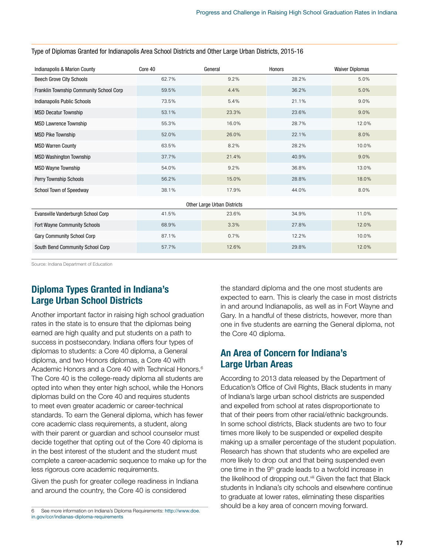| Indianapolis & Marion County            | Core 40<br>General<br>Honors |       |       | <b>Waiver Diplomas</b> |  |  |  |
|-----------------------------------------|------------------------------|-------|-------|------------------------|--|--|--|
| <b>Beech Grove City Schools</b>         | 62.7%                        | 9.2%  | 28.2% | 5.0%                   |  |  |  |
| Franklin Township Community School Corp | 59.5%                        | 4.4%  | 36.2% | 5.0%                   |  |  |  |
| Indianapolis Public Schools             | 73.5%                        | 5.4%  | 21.1% | 9.0%                   |  |  |  |
| <b>MSD Decatur Township</b>             | 53.1%                        | 23.3% | 23.6% | 9.0%                   |  |  |  |
| <b>MSD Lawrence Township</b>            | 55.3%                        | 16.0% | 28.7% | 12.0%                  |  |  |  |
| <b>MSD Pike Township</b>                | 52.0%                        | 26.0% | 22.1% | 8.0%                   |  |  |  |
| <b>MSD Warren County</b>                | 63.5%                        | 8.2%  | 28.2% | 10.0%                  |  |  |  |
| <b>MSD Washington Township</b>          | 37.7%                        | 21.4% | 40.9% | 9.0%                   |  |  |  |
| <b>MSD Wayne Township</b>               | 54.0%                        | 9.2%  | 36.8% | 13.0%                  |  |  |  |
| Perry Township Schools                  | 56.2%                        | 15.0% | 28.8% | 18.0%                  |  |  |  |
| School Town of Speedway                 | 38.1%                        | 17.9% | 44.0% | 8.0%                   |  |  |  |
| Other Large Urban Districts             |                              |       |       |                        |  |  |  |
| Evansville Vanderburgh School Corp      | 41.5%                        | 23.6% | 34.9% | 11.0%                  |  |  |  |
| Fort Wayne Community Schools            | 68.9%                        | 3.3%  | 27.8% | 12.0%                  |  |  |  |
| Gary Community School Corp              | 87.1%                        | 0.7%  | 12.2% | 10.0%                  |  |  |  |
| South Bend Community School Corp        | 57.7%                        | 12.6% | 29.8% | 12.0%                  |  |  |  |
|                                         |                              |       |       |                        |  |  |  |

Type of Diplomas Granted for Indianapolis Area School Districts and Other Large Urban Districts, 2015-16

Source: Indiana Department of Education

# **Diploma Types Granted in Indiana's Large Urban School Districts**

Another important factor in raising high school graduation rates in the state is to ensure that the diplomas being earned are high quality and put students on a path to success in postsecondary. Indiana offers four types of diplomas to students: a Core 40 diploma, a General diploma, and two Honors diplomas, a Core 40 with Academic Honors and a Core 40 with Technical Honors.<sup>6</sup> The Core 40 is the college-ready diploma all students are opted into when they enter high school, while the Honors diplomas build on the Core 40 and requires students to meet even greater academic or career-technical standards. To earn the General diploma, which has fewer core academic class requirements, a student, along with their parent or guardian and school counselor must decide together that opting out of the Core 40 diploma is in the best interest of the student and the student must complete a career-academic sequence to make up for the less rigorous core academic requirements.

Given the push for greater college readiness in Indiana and around the country, the Core 40 is considered

the standard diploma and the one most students are expected to earn. This is clearly the case in most districts in and around Indianapolis, as well as in Fort Wayne and Gary. In a handful of these districts, however, more than one in five students are earning the General diploma, not the Core 40 diploma.

# **An Area of Concern for Indiana's Large Urban Areas**

According to 2013 data released by the Department of Education's Office of Civil Rights, Black students in many of Indiana's large urban school districts are suspended and expelled from school at rates disproportionate to that of their peers from other racial/ethnic backgrounds. In some school districts, Black students are two to four times more likely to be suspended or expelled despite making up a smaller percentage of the student population. Research has shown that students who are expelled are more likely to drop out and that being suspended even one time in the 9<sup>th</sup> grade leads to a twofold increase in the likelihood of dropping out.<sup>viii</sup> Given the fact that Black students in Indiana's city schools and elsewhere continue to graduate at lower rates, eliminating these disparities should be a key area of concern moving forward.

<sup>6</sup> See more information on Indiana's Diploma Requirements: [http://www.doe.](http://www.doe.in.gov/ccr/indianas-diploma-requirements) [in.gov/ccr/indianas-diploma-requirements](http://www.doe.in.gov/ccr/indianas-diploma-requirements)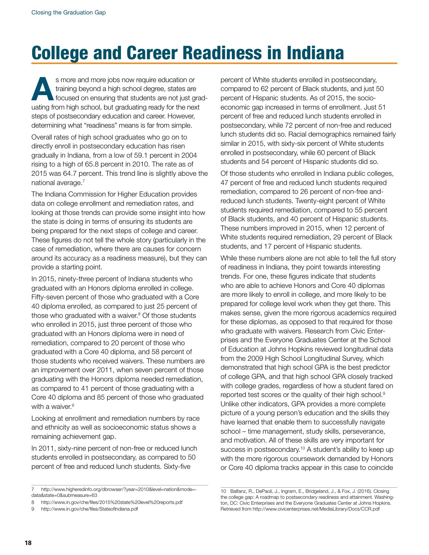# College and Career Readiness in Indiana

**As more and more jobs now require education or training beyond a high school degree, states are focused on ensuring that students are not just grad**training beyond a high school degree, states are uating from high school, but graduating ready for the next steps of postsecondary education and career. However, determining what "readiness" means is far from simple.

Overall rates of high school graduates who go on to directly enroll in postsecondary education has risen gradually in Indiana, from a low of 59.1 percent in 2004 rising to a high of 65.8 percent in 2010. The rate as of 2015 was 64.7 percent. This trend line is slightly above the national average.<sup>7</sup>

The Indiana Commission for Higher Education provides data on college enrollment and remediation rates, and looking at those trends can provide some insight into how the state is doing in terms of ensuring its students are being prepared for the next steps of college and career. These figures do not tell the whole story (particularly in the case of remediation, where there are causes for concern around its accuracy as a readiness measure), but they can provide a starting point.

In 2015, ninety-three percent of Indiana students who graduated with an Honors diploma enrolled in college. Fifty-seven percent of those who graduated with a Core 40 diploma enrolled, as compared to just 25 percent of those who graduated with a waiver.<sup>8</sup> Of those students who enrolled in 2015, just three percent of those who graduated with an Honors diploma were in need of remediation, compared to 20 percent of those who graduated with a Core 40 diploma, and 58 percent of those students who received waivers. These numbers are an improvement over 2011, when seven percent of those graduating with the Honors diploma needed remediation, as compared to 41 percent of those graduating with a Core 40 diploma and 85 percent of those who graduated with a waiver.<sup>9</sup>

Looking at enrollment and remediation numbers by race and ethnicity as well as socioeconomic status shows a remaining achievement gap.

In 2011, sixty-nine percent of non-free or reduced lunch students enrolled in postsecondary, as compared to 50 percent of free and reduced lunch students. Sixty-five

percent of White students enrolled in postsecondary, compared to 62 percent of Black students, and just 50 percent of Hispanic students. As of 2015, the socioeconomic gap increased in terms of enrollment. Just 51 percent of free and reduced lunch students enrolled in postsecondary, while 72 percent of non-free and reduced lunch students did so. Racial demographics remained fairly similar in 2015, with sixty-six percent of White students enrolled in postsecondary, while 60 percent of Black students and 54 percent of Hispanic students did so.

Of those students who enrolled in Indiana public colleges, 47 percent of free and reduced lunch students required remediation, compared to 26 percent of non-free andreduced lunch students. Twenty-eight percent of White students required remediation, compared to 55 percent of Black students, and 40 percent of Hispanic students. These numbers improved in 2015, when 12 percent of White students required remediation, 29 percent of Black students, and 17 percent of Hispanic students.

While these numbers alone are not able to tell the full story of readiness in Indiana, they point towards interesting trends. For one, these figures indicate that students who are able to achieve Honors and Core 40 diplomas are more likely to enroll in college, and more likely to be prepared for college level work when they get there. This makes sense, given the more rigorous academics required for these diplomas, as opposed to that required for those who graduate with waivers. Research from Civic Enterprises and the Everyone Graduates Center at the School of Education at Johns Hopkins reviewed longitudinal data from the 2009 High School Longitudinal Survey, which demonstrated that high school GPA is the best predictor of college GPA, and that high school GPA closely tracked with college grades, regardless of how a student fared on reported test scores or the quality of their high school.<sup>9</sup> Unlike other indicators, GPA provides a more complete picture of a young person's education and the skills they have learned that enable them to successfully navigate school – time management, study skills, perseverance, and motivation. All of these skills are very important for success in postsecondary.<sup>10</sup> A student's ability to keep up with the more rigorous coursework demanded by Honors or Core 40 diploma tracks appear in this case to coincide

<sup>7</sup> http://www.higheredinfo.org/dbrowser/?year=2010&level=nation&mode= data&state=0&submeasure=63

<sup>8</sup> http://www.in.gov/che/files/2015%20state%20level%20reports.pdf

<sup>9</sup> http://www.in.gov/che/files/StateofIndiana.pdf

<sup>10</sup> Balfanz, R., DePaoli, J., Ingram, E., Bridgeland, J., & Fox, J. (2016). Closing the college gap: A roadmap to postsecondary readiness and attainment. Washington, DC: Civic Enterprises and the Everyone Graduates Center at Johns Hopkins. Retrieved from http://www.civicenterprises.net/MediaLibrary/Docs/CCR.pdf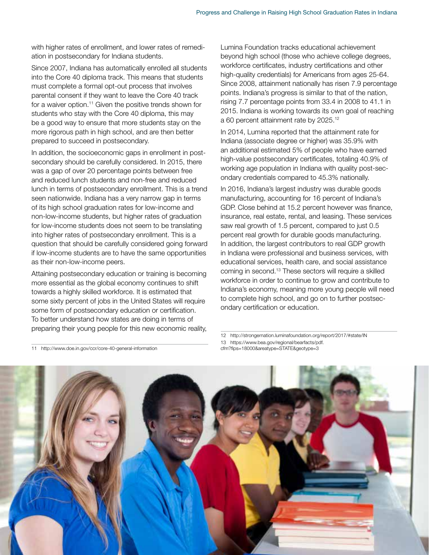with higher rates of enrollment, and lower rates of remediation in postsecondary for Indiana students.

Since 2007, Indiana has automatically enrolled all students into the Core 40 diploma track. This means that students must complete a formal opt-out process that involves parental consent if they want to leave the Core 40 track for a waiver option.<sup>11</sup> Given the positive trends shown for students who stay with the Core 40 diploma, this may be a good way to ensure that more students stay on the more rigorous path in high school, and are then better prepared to succeed in postsecondary.

In addition, the socioeconomic gaps in enrollment in postsecondary should be carefully considered. In 2015, there was a gap of over 20 percentage points between free and reduced lunch students and non-free and reduced lunch in terms of postsecondary enrollment. This is a trend seen nationwide. Indiana has a very narrow gap in terms of its high school graduation rates for low-income and non-low-income students, but higher rates of graduation for low-income students does not seem to be translating into higher rates of postsecondary enrollment. This is a question that should be carefully considered going forward if low-income students are to have the same opportunities as their non-low-income peers.

Attaining postsecondary education or training is becoming more essential as the global economy continues to shift towards a highly skilled workforce. It is estimated that some sixty percent of jobs in the United States will require some form of postsecondary education or certification. To better understand how states are doing in terms of preparing their young people for this new economic reality,

11 http://www.doe.in.gov/ccr/core-40-general-information

Lumina Foundation tracks educational achievement beyond high school (those who achieve college degrees, workforce certificates, industry certifications and other high-quality credentials) for Americans from ages 25-64. Since 2008, attainment nationally has risen 7.9 percentage points. Indiana's progress is similar to that of the nation, rising 7.7 percentage points from 33.4 in 2008 to 41.1 in 2015. Indiana is working towards its own goal of reaching a 60 percent attainment rate by 2025.12

In 2014, Lumina reported that the attainment rate for Indiana (associate degree or higher) was 35.9% with an additional estimated 5% of people who have earned high-value postsecondary certificates, totaling 40.9% of working age population in Indiana with quality post-secondary credentials compared to 45.3% nationally.

In 2016, Indiana's largest industry was durable goods manufacturing, accounting for 16 percent of Indiana's GDP. Close behind at 15.2 percent however was finance, insurance, real estate, rental, and leasing. These services saw real growth of 1.5 percent, compared to just 0.5 percent real growth for durable goods manufacturing. In addition, the largest contributors to real GDP growth in Indiana were professional and business services, with educational services, health care, and social assistance coming in second.13 These sectors will require a skilled workforce in order to continue to grow and contribute to Indiana's economy, meaning more young people will need to complete high school, and go on to further postsecondary certification or education.

- 13 https://www.bea.gov/regional/bearfacts/pdf.
- cfm?fips=18000&areatype=STATE&geotype=3



<sup>12</sup> http://strongernation.luminafoundation.org/report/2017/#state/IN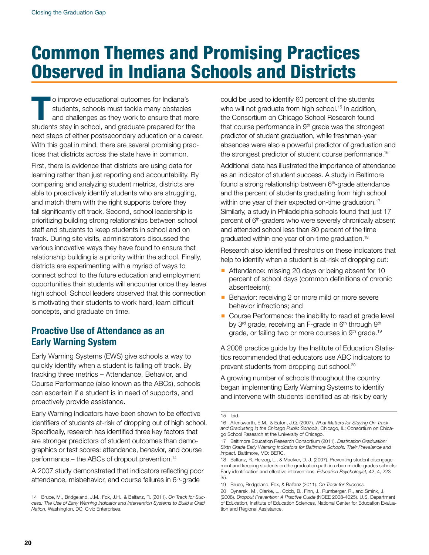# Common Themes and Promising Practices Observed in Indiana Schools and Districts

**T**o improve educational outcomes for Indiana's students, schools must tackle many obstacles and challenges as they work to ensure that more students stay in school, and graduate prepared for the next steps of either postsecondary education or a career. With this goal in mind, there are several promising practices that districts across the state have in common.

First, there is evidence that districts are using data for learning rather than just reporting and accountability. By comparing and analyzing student metrics, districts are able to proactively identify students who are struggling, and match them with the right supports before they fall significantly off track. Second, school leadership is prioritizing building strong relationships between school staff and students to keep students in school and on track. During site visits, administrators discussed the various innovative ways they have found to ensure that relationship building is a priority within the school. Finally, districts are experimenting with a myriad of ways to connect school to the future education and employment opportunities their students will encounter once they leave high school. School leaders observed that this connection is motivating their students to work hard, learn difficult concepts, and graduate on time.

# **Proactive Use of Attendance as an Early Warning System**

Early Warning Systems (EWS) give schools a way to quickly identify when a student is falling off track. By tracking three metrics – Attendance, Behavior, and Course Performance (also known as the ABCs), schools can ascertain if a student is in need of supports, and proactively provide assistance.

Early Warning Indicators have been shown to be effective identifiers of students at-risk of dropping out of high school. Specifically, research has identified three key factors that are stronger predictors of student outcomes than demographics or test scores: attendance, behavior, and course performance – the ABCs of dropout prevention.14

A 2007 study demonstrated that indicators reflecting poor attendance, misbehavior, and course failures in 6<sup>th</sup>-grade

could be used to identify 60 percent of the students who will not graduate from high school.<sup>15</sup> In addition, the Consortium on Chicago School Research found that course performance in  $9<sup>th</sup>$  grade was the strongest predictor of student graduation, while freshman-year absences were also a powerful predictor of graduation and the strongest predictor of student course performance.<sup>16</sup>

Additional data has illustrated the importance of attendance as an indicator of student success. A study in Baltimore found a strong relationship between  $6<sup>th</sup>$ -grade attendance and the percent of students graduating from high school within one year of their expected on-time graduation.<sup>17</sup> Similarly, a study in Philadelphia schools found that just 17 percent of 6<sup>th</sup>-graders who were severely chronically absent and attended school less than 80 percent of the time graduated within one year of on-time graduation.<sup>18</sup>

Research also identified thresholds on these indicators that help to identify when a student is at-risk of dropping out:

- Attendance: missing 20 days or being absent for 10 percent of school days (common definitions of chronic absenteeism);
- Behavior: receiving 2 or more mild or more severe behavior infractions; and
- Course Performance: the inability to read at grade level by  $3<sup>rd</sup>$  grade, receiving an F-grade in  $6<sup>th</sup>$  through  $9<sup>th</sup>$ grade, or failing two or more courses in  $9<sup>th</sup>$  grade.<sup>19</sup>

A 2008 practice guide by the Institute of Education Statistics recommended that educators use ABC indicators to prevent students from dropping out school.<sup>20</sup>

A growing number of schools throughout the country began implementing Early Warning Systems to identify and intervene with students identified as at-risk by early

<sup>14</sup> Bruce, M., Bridgeland, J.M., Fox, J.H., & Balfanz, R. (2011). *On Track for Success: The Use of Early Warning Indicator and Intervention Systems to Build a Grad Nation.* Washington, DC: Civic Enterprises.

<sup>15</sup> Ibid.

<sup>16</sup> Allensworth, E.M., & Eaton, J.Q. (2007). *What Matters for Staying On-Track and Graduating in the Chicago Public Schools,* Chicago, IL: Consortium on Chicago School Research at the University of Chicago.

<sup>17</sup> Baltimore Education Research Consortium (2011). *Destination Graduation: Sixth Grade Early Warning Indicators for Baltimore Schools: Their Prevalance and Impact.* Baltimore, MD: BERC.

<sup>18</sup> Balfanz, R. Herzog, L., & MacIver, D. J. (2007). Preventing student disengagement and keeping students on the graduation path in urban middle-grades schools: Early identification and effective interventions. *Education Psychologist,* 42, 4, 223- 35.

<sup>19</sup> Bruce, Bridgeland, Fox, & Balfanz (2011). *On Track for Success.* 

<sup>20</sup> Dynarski, M., Clarke, L., Cobb, B., Finn, J., Rumberger, R., and Smink, J. (2008). *Dropout Prevention: A Practive Guide* (NCEE 2008-4025). U.S. Department of Education, Institute of Education Sciences, National Center for Education Evaluation and Regional Assistance.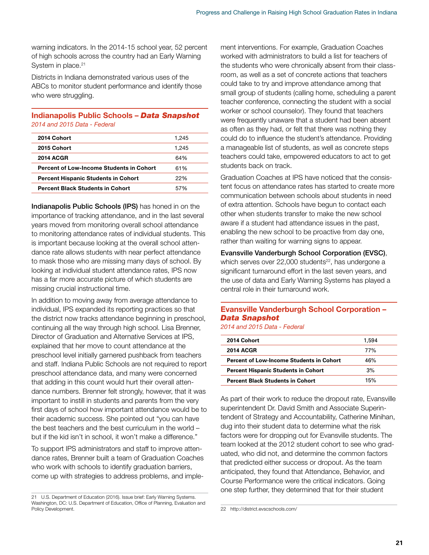warning indicators. In the 2014-15 school year, 52 percent of high schools across the country had an Early Warning System in place.<sup>21</sup>

Districts in Indiana demonstrated various uses of the ABCs to monitor student performance and identify those who were struggling.

### **Indianapolis Public Schools –** *Data Snapshot 2014 and 2015 Data - Federal*

| 2014 Cohort                                     | 1.245 |
|-------------------------------------------------|-------|
| 2015 Cohort                                     | 1.245 |
| <b>2014 ACGR</b>                                | 64%   |
| <b>Percent of Low-Income Students in Cohort</b> | 61%   |
| <b>Percent Hispanic Students in Cohort</b>      | 22%   |
| <b>Percent Black Students in Cohort</b>         | 57%   |

Indianapolis Public Schools (IPS) has honed in on the importance of tracking attendance, and in the last several years moved from monitoring overall school attendance to monitoring attendance rates of individual students. This is important because looking at the overall school attendance rate allows students with near perfect attendance to mask those who are missing many days of school. By looking at individual student attendance rates, IPS now has a far more accurate picture of which students are missing crucial instructional time.

In addition to moving away from average attendance to individual, IPS expanded its reporting practices so that the district now tracks attendance beginning in preschool, continuing all the way through high school. Lisa Brenner, Director of Graduation and Alternative Services at IPS, explained that her move to count attendance at the preschool level initially garnered pushback from teachers and staff. Indiana Public Schools are not required to report preschool attendance data, and many were concerned that adding in this count would hurt their overall attendance numbers. Brenner felt strongly, however, that it was important to instill in students and parents from the very first days of school how important attendance would be to their academic success. She pointed out "you can have the best teachers and the best curriculum in the world – but if the kid isn't in school, it won't make a difference."

To support IPS administrators and staff to improve attendance rates, Brenner built a team of Graduation Coaches who work with schools to identify graduation barriers, come up with strategies to address problems, and implement interventions. For example, Graduation Coaches worked with administrators to build a list for teachers of the students who were chronically absent from their classroom, as well as a set of concrete actions that teachers could take to try and improve attendance among that small group of students (calling home, scheduling a parent teacher conference, connecting the student with a social worker or school counselor). They found that teachers were frequently unaware that a student had been absent as often as they had, or felt that there was nothing they could do to influence the student's attendance. Providing a manageable list of students, as well as concrete steps teachers could take, empowered educators to act to get students back on track.

Graduation Coaches at IPS have noticed that the consistent focus on attendance rates has started to create more communication between schools about students in need of extra attention. Schools have begun to contact each other when students transfer to make the new school aware if a student had attendance issues in the past, enabling the new school to be proactive from day one, rather than waiting for warning signs to appear.

Evansville Vanderburgh School Corporation (EVSC), which serves over 22,000 students<sup>22</sup>, has undergone a significant turnaround effort in the last seven years, and the use of data and Early Warning Systems has played a central role in their turnaround work.

### **Evansville Vanderburgh School Corporation –**  *Data Snapshot*

*2014 and 2015 Data - Federal*

| 2014 Cohort                                     | 1,594 |
|-------------------------------------------------|-------|
| <b>2014 ACGR</b>                                | 77%   |
| <b>Percent of Low-Income Students in Cohort</b> | 46%   |
| <b>Percent Hispanic Students in Cohort</b>      | 3%    |
| <b>Percent Black Students in Cohort</b>         | 15%   |

As part of their work to reduce the dropout rate, Evansville superintendent Dr. David Smith and Associate Superintendent of Strategy and Accountability, Catherine Minihan, dug into their student data to determine what the risk factors were for dropping out for Evansville students. The team looked at the 2012 student cohort to see who graduated, who did not, and determine the common factors that predicted either success or dropout. As the team anticipated, they found that Attendance, Behavior, and Course Performance were the critical indicators. Going one step further, they determined that for their student

<sup>21</sup> U.S. Department of Education (2016). Issue brief: Early Warning Systems. Washington, DC: U.S. Department of Education, Office of Planning, Evaluation and Policy Development.

<sup>22</sup> http://district.evscschools.com/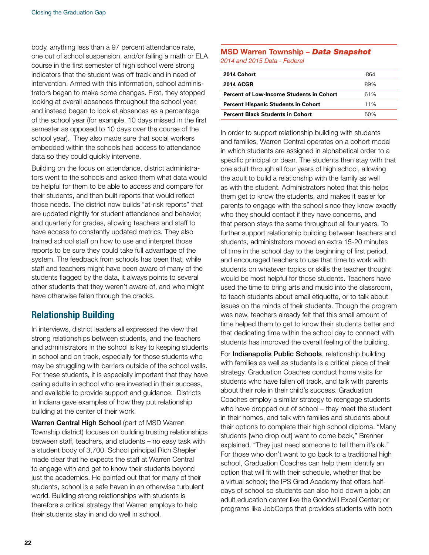body, anything less than a 97 percent attendance rate, one out of school suspension, and/or failing a math or ELA course in the first semester of high school were strong indicators that the student was off track and in need of intervention. Armed with this information, school administrators began to make some changes. First, they stopped looking at overall absences throughout the school year, and instead began to look at absences as a percentage of the school year (for example, 10 days missed in the first semester as opposed to 10 days over the course of the school year). They also made sure that social workers embedded within the schools had access to attendance data so they could quickly intervene.

Building on the focus on attendance, district administrators went to the schools and asked them what data would be helpful for them to be able to access and compare for their students, and then built reports that would reflect those needs. The district now builds "at-risk reports" that are updated nightly for student attendance and behavior, and quarterly for grades, allowing teachers and staff to have access to constantly updated metrics. They also trained school staff on how to use and interpret those reports to be sure they could take full advantage of the system. The feedback from schools has been that, while staff and teachers might have been aware of many of the students flagged by the data, it always points to several other students that they weren't aware of, and who might have otherwise fallen through the cracks.

# **Relationship Building**

In interviews, district leaders all expressed the view that strong relationships between students, and the teachers and administrators in the school is key to keeping students in school and on track, especially for those students who may be struggling with barriers outside of the school walls. For these students, it is especially important that they have caring adults in school who are invested in their success, and available to provide support and guidance. Districts in Indiana gave examples of how they put relationship building at the center of their work.

Warren Central High School (part of MSD Warren Township district) focuses on building trusting relationships between staff, teachers, and students – no easy task with a student body of 3,700. School principal Rich Shepler made clear that he expects the staff at Warren Central to engage with and get to know their students beyond just the academics. He pointed out that for many of their students, school is a safe haven in an otherwise turbulent world. Building strong relationships with students is therefore a critical strategy that Warren employs to help their students stay in and do well in school.

### **MSD Warren Township –** *Data Snapshot 2014 and 2015 Data - Federal*

| 2014 Cohort                                     | 864    |
|-------------------------------------------------|--------|
| <b>2014 ACGR</b>                                | 89%    |
| <b>Percent of Low-Income Students in Cohort</b> | 61%    |
| <b>Percent Hispanic Students in Cohort</b>      | $11\%$ |
| <b>Percent Black Students in Cohort</b>         | 50%    |
|                                                 |        |

In order to support relationship building with students and families, Warren Central operates on a cohort model in which students are assigned in alphabetical order to a specific principal or dean. The students then stay with that one adult through all four years of high school, allowing the adult to build a relationship with the family as well as with the student. Administrators noted that this helps them get to know the students, and makes it easier for parents to engage with the school since they know exactly who they should contact if they have concerns, and that person stays the same throughout all four years. To further support relationship building between teachers and students, administrators moved an extra 15-20 minutes of time in the school day to the beginning of first period, and encouraged teachers to use that time to work with students on whatever topics or skills the teacher thought would be most helpful for those students. Teachers have used the time to bring arts and music into the classroom, to teach students about email etiquette, or to talk about issues on the minds of their students. Though the program was new, teachers already felt that this small amount of time helped them to get to know their students better and that dedicating time within the school day to connect with students has improved the overall feeling of the building.

For Indianapolis Public Schools, relationship building with families as well as students is a critical piece of their strategy. Graduation Coaches conduct home visits for students who have fallen off track, and talk with parents about their role in their child's success. Graduation Coaches employ a similar strategy to reengage students who have dropped out of school – they meet the student in their homes, and talk with families and students about their options to complete their high school diploma. "Many students [who drop out] want to come back," Brenner explained. "They just need someone to tell them it's ok." For those who don't want to go back to a traditional high school, Graduation Coaches can help them identify an option that will fit with their schedule, whether that be a virtual school; the IPS Grad Academy that offers halfdays of school so students can also hold down a job; an adult education center like the Goodwill Excel Center; or programs like JobCorps that provides students with both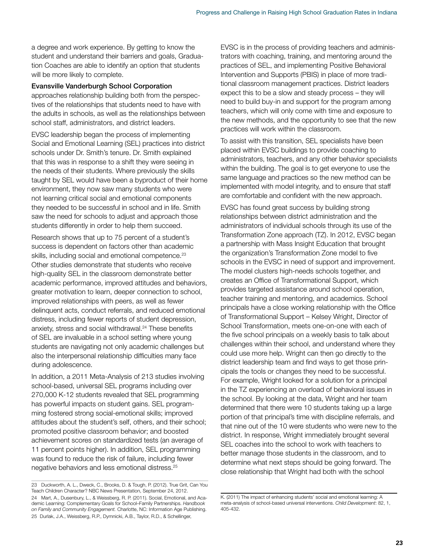a degree and work experience. By getting to know the student and understand their barriers and goals, Graduation Coaches are able to identify an option that students will be more likely to complete.

#### Evansville Vanderburgh School Corporation

approaches relationship building both from the perspectives of the relationships that students need to have with the adults in schools, as well as the relationships between school staff, administrators, and district leaders.

EVSC leadership began the process of implementing Social and Emotional Learning (SEL) practices into district schools under Dr. Smith's tenure. Dr. Smith explained that this was in response to a shift they were seeing in the needs of their students. Where previously the skills taught by SEL would have been a byproduct of their home environment, they now saw many students who were not learning critical social and emotional components they needed to be successful in school and in life. Smith saw the need for schools to adjust and approach those students differently in order to help them succeed.

Research shows that up to 75 percent of a student's success is dependent on factors other than academic skills, including social and emotional competence.<sup>23</sup> Other studies demonstrate that students who receive high-quality SEL in the classroom demonstrate better academic performance, improved attitudes and behaviors, greater motivation to learn, deeper connection to school, improved relationships with peers, as well as fewer delinquent acts, conduct referrals, and reduced emotional distress, including fewer reports of student depression, anxiety, stress and social withdrawal.<sup>24</sup> These benefits of SEL are invaluable in a school setting where young students are navigating not only academic challenges but also the interpersonal relationship difficulties many face during adolescence.

In addition, a 2011 Meta-Analysis of 213 studies involving school-based, universal SEL programs including over 270,000 K-12 students revealed that SEL programming has powerful impacts on student gains. SEL programming fostered strong social-emotional skills; improved attitudes about the student's self, others, and their school; promoted positive classroom behavior; and boosted achievement scores on standardized tests (an average of 11 percent points higher). In addition, SEL programming was found to reduce the risk of failure, including fewer negative behaviors and less emotional distress.25

EVSC is in the process of providing teachers and administrators with coaching, training, and mentoring around the practices of SEL, and implementing Positive Behavioral Intervention and Supports (PBIS) in place of more traditional classroom management practices. District leaders expect this to be a slow and steady process – they will need to build buy-in and support for the program among teachers, which will only come with time and exposure to the new methods, and the opportunity to see that the new practices will work within the classroom.

To assist with this transition, SEL specialists have been placed within EVSC buildings to provide coaching to administrators, teachers, and any other behavior specialists within the building. The goal is to get everyone to use the same language and practices so the new method can be implemented with model integrity, and to ensure that staff are comfortable and confident with the new approach.

EVSC has found great success by building strong relationships between district administration and the administrators of individual schools through its use of the Transformation Zone approach (TZ). In 2012, EVSC began a partnership with Mass Insight Education that brought the organization's Transformation Zone model to five schools in the EVSC in need of support and improvement. The model clusters high-needs schools together, and creates an Office of Transformational Support, which provides targeted assistance around school operation, teacher training and mentoring, and academics. School principals have a close working relationship with the Office of Transformational Support – Kelsey Wright, Director of School Transformation, meets one-on-one with each of the five school principals on a weekly basis to talk about challenges within their school, and understand where they could use more help. Wright can then go directly to the district leadership team and find ways to get those principals the tools or changes they need to be successful. For example, Wright looked for a solution for a principal in the TZ experiencing an overload of behavioral issues in the school. By looking at the data, Wright and her team determined that there were 10 students taking up a large portion of that principal's time with discipline referrals, and that nine out of the 10 were students who were new to the district. In response, Wright immediately brought several SEL coaches into the school to work with teachers to better manage those students in the classroom, and to determine what next steps should be going forward. The close relationship that Wright had both with the school

<sup>23</sup> Duckworth, A. L., Dweck, C., Brooks, D. & Tough, P. (2012). True Grit, Can You Teach Children Character? NBC News Presentation, September 24, 2012. 24 Mart, A., Dusenbury, L., & Weissberg, R. P. (2011). Social, Emotional, and Academic Learning: Complementary Goals for School–Family Partnerships. *Handbook on Family and Community Engagement.* Charlotte, NC: Information Age Publishing. 25 Durlak, J.A., Weissberg, R.P., Dymnicki, A.B., Taylor, R.D., & Schellinger,

K. (2011) The impact of enhancing students' social and emotional learning: A meta-analysis of school-based universal interventions. *Child Development*: 82, 1, 405-432.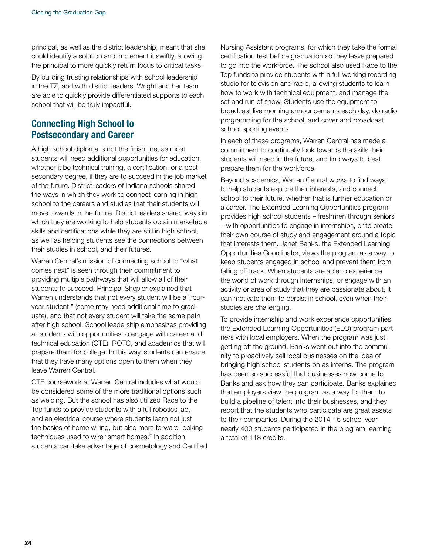principal, as well as the district leadership, meant that she could identify a solution and implement it swiftly, allowing the principal to more quickly return focus to critical tasks.

By building trusting relationships with school leadership in the TZ, and with district leaders, Wright and her team are able to quickly provide differentiated supports to each school that will be truly impactful.

# **Connecting High School to Postsecondary and Career**

A high school diploma is not the finish line, as most students will need additional opportunities for education, whether it be technical training, a certification, or a postsecondary degree, if they are to succeed in the job market of the future. District leaders of Indiana schools shared the ways in which they work to connect learning in high school to the careers and studies that their students will move towards in the future. District leaders shared ways in which they are working to help students obtain marketable skills and certifications while they are still in high school, as well as helping students see the connections between their studies in school, and their futures.

Warren Central's mission of connecting school to "what comes next" is seen through their commitment to providing multiple pathways that will allow all of their students to succeed. Principal Shepler explained that Warren understands that not every student will be a "fouryear student," (some may need additional time to graduate), and that not every student will take the same path after high school. School leadership emphasizes providing all students with opportunities to engage with career and technical education (CTE), ROTC, and academics that will prepare them for college. In this way, students can ensure that they have many options open to them when they leave Warren Central.

CTE coursework at Warren Central includes what would be considered some of the more traditional options such as welding. But the school has also utilized Race to the Top funds to provide students with a full robotics lab, and an electrical course where students learn not just the basics of home wiring, but also more forward-looking techniques used to wire "smart homes." In addition, students can take advantage of cosmetology and Certified Nursing Assistant programs, for which they take the formal certification test before graduation so they leave prepared to go into the workforce. The school also used Race to the Top funds to provide students with a full working recording studio for television and radio, allowing students to learn how to work with technical equipment, and manage the set and run of show. Students use the equipment to broadcast live morning announcements each day, do radio programming for the school, and cover and broadcast school sporting events.

In each of these programs, Warren Central has made a commitment to continually look towards the skills their students will need in the future, and find ways to best prepare them for the workforce.

Beyond academics, Warren Central works to find ways to help students explore their interests, and connect school to their future, whether that is further education or a career. The Extended Learning Opportunities program provides high school students – freshmen through seniors – with opportunities to engage in internships, or to create their own course of study and engagement around a topic that interests them. Janet Banks, the Extended Learning Opportunities Coordinator, views the program as a way to keep students engaged in school and prevent them from falling off track. When students are able to experience the world of work through internships, or engage with an activity or area of study that they are passionate about, it can motivate them to persist in school, even when their studies are challenging.

To provide internship and work experience opportunities, the Extended Learning Opportunities (ELO) program partners with local employers. When the program was just getting off the ground, Banks went out into the community to proactively sell local businesses on the idea of bringing high school students on as interns. The program has been so successful that businesses now come to Banks and ask how they can participate. Banks explained that employers view the program as a way for them to build a pipeline of talent into their businesses, and they report that the students who participate are great assets to their companies. During the 2014-15 school year, nearly 400 students participated in the program, earning a total of 118 credits.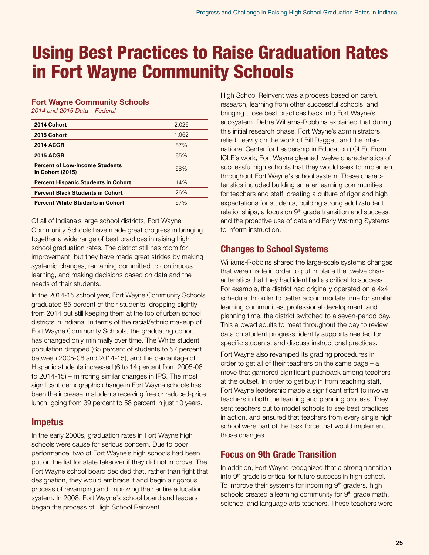# Using Best Practices to Raise Graduation Rates in Fort Wayne Community Schools

#### **Fort Wayne Community Schools**

*2014 and 2015 Data – Federal*

| 2014 Cohort                                               | 2.026 |
|-----------------------------------------------------------|-------|
| 2015 Cohort                                               | 1.962 |
| <b>2014 ACGR</b>                                          | 87%   |
| <b>2015 ACGR</b>                                          | 85%   |
| <b>Percent of Low-Income Students</b><br>in Cohort (2015) | 58%   |
| <b>Percent Hispanic Students in Cohort</b><br>14%         |       |
| <b>Percent Black Students in Cohort</b>                   | 26%   |
| <b>Percent White Students in Cohort</b>                   | 57%   |
|                                                           |       |

Of all of Indiana's large school districts, Fort Wayne Community Schools have made great progress in bringing together a wide range of best practices in raising high school graduation rates. The district still has room for improvement, but they have made great strides by making systemic changes, remaining committed to continuous learning, and making decisions based on data and the needs of their students.

In the 2014-15 school year, Fort Wayne Community Schools graduated 85 percent of their students, dropping slightly from 2014 but still keeping them at the top of urban school districts in Indiana. In terms of the racial/ethnic makeup of Fort Wayne Community Schools, the graduating cohort has changed only minimally over time. The White student population dropped (65 percent of students to 57 percent between 2005-06 and 2014-15), and the percentage of Hispanic students increased (6 to 14 percent from 2005-06 to 2014-15) – mirroring similar changes in IPS. The most significant demographic change in Fort Wayne schools has been the increase in students receiving free or reduced-price lunch, going from 39 percent to 58 percent in just 10 years.

# **Impetus**

In the early 2000s, graduation rates in Fort Wayne high schools were cause for serious concern. Due to poor performance, two of Fort Wayne's high schools had been put on the list for state takeover if they did not improve. The Fort Wayne school board decided that, rather than fight that designation, they would embrace it and begin a rigorous process of revamping and improving their entire education system. In 2008, Fort Wayne's school board and leaders began the process of High School Reinvent.

High School Reinvent was a process based on careful research, learning from other successful schools, and bringing those best practices back into Fort Wayne's ecosystem. Debra Williams-Robbins explained that during this initial research phase, Fort Wayne's administrators relied heavily on the work of Bill Daggett and the International Center for Leadership in Education (ICLE). From ICLE's work, Fort Wayne gleaned twelve characteristics of successful high schools that they would seek to implement throughout Fort Wayne's school system. These characteristics included building smaller learning communities for teachers and staff, creating a culture of rigor and high expectations for students, building strong adult/student relationships, a focus on 9<sup>th</sup> grade transition and success, and the proactive use of data and Early Warning Systems to inform instruction.

# **Changes to School Systems**

Williams-Robbins shared the large-scale systems changes that were made in order to put in place the twelve characteristics that they had identified as critical to success. For example, the district had originally operated on a 4x4 schedule. In order to better accommodate time for smaller learning communities, professional development, and planning time, the district switched to a seven-period day. This allowed adults to meet throughout the day to review data on student progress, identify supports needed for specific students, and discuss instructional practices.

Fort Wayne also revamped its grading procedures in order to get all of their teachers on the same page – a move that garnered significant pushback among teachers at the outset. In order to get buy in from teaching staff, Fort Wayne leadership made a significant effort to involve teachers in both the learning and planning process. They sent teachers out to model schools to see best practices in action, and ensured that teachers from every single high school were part of the task force that would implement those changes.

# **Focus on 9th Grade Transition**

In addition, Fort Wayne recognized that a strong transition into 9<sup>th</sup> grade is critical for future success in high school. To improve their systems for incoming 9<sup>th</sup> graders, high schools created a learning community for 9<sup>th</sup> grade math, science, and language arts teachers. These teachers were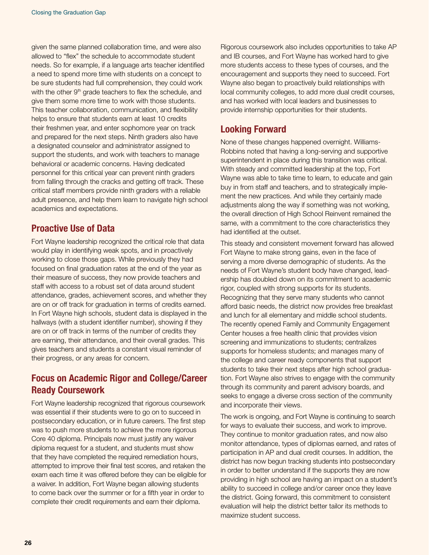given the same planned collaboration time, and were also allowed to "flex" the schedule to accommodate student needs. So for example, if a language arts teacher identified a need to spend more time with students on a concept to be sure students had full comprehension, they could work with the other 9<sup>th</sup> grade teachers to flex the schedule, and give them some more time to work with those students. This teacher collaboration, communication, and flexibility helps to ensure that students earn at least 10 credits their freshmen year, and enter sophomore year on track and prepared for the next steps. Ninth graders also have a designated counselor and administrator assigned to support the students, and work with teachers to manage behavioral or academic concerns. Having dedicated personnel for this critical year can prevent ninth graders from falling through the cracks and getting off track. These critical staff members provide ninth graders with a reliable adult presence, and help them learn to navigate high school academics and expectations.

# **Proactive Use of Data**

Fort Wayne leadership recognized the critical role that data would play in identifying weak spots, and in proactively working to close those gaps. While previously they had focused on final graduation rates at the end of the year as their measure of success, they now provide teachers and staff with access to a robust set of data around student attendance, grades, achievement scores, and whether they are on or off track for graduation in terms of credits earned. In Fort Wayne high schools, student data is displayed in the hallways (with a student identifier number), showing if they are on or off track in terms of the number of credits they are earning, their attendance, and their overall grades. This gives teachers and students a constant visual reminder of their progress, or any areas for concern.

# **Focus on Academic Rigor and College/Career Ready Coursework**

Fort Wayne leadership recognized that rigorous coursework was essential if their students were to go on to succeed in postsecondary education, or in future careers. The first step was to push more students to achieve the more rigorous Core 40 diploma. Principals now must justify any waiver diploma request for a student, and students must show that they have completed the required remediation hours, attempted to improve their final test scores, and retaken the exam each time it was offered before they can be eligible for a waiver. In addition, Fort Wayne began allowing students to come back over the summer or for a fifth year in order to complete their credit requirements and earn their diploma.

Rigorous coursework also includes opportunities to take AP and IB courses, and Fort Wayne has worked hard to give more students access to these types of courses, and the encouragement and supports they need to succeed. Fort Wayne also began to proactively build relationships with local community colleges, to add more dual credit courses, and has worked with local leaders and businesses to provide internship opportunities for their students.

# **Looking Forward**

None of these changes happened overnight. Williams-Robbins noted that having a long-serving and supportive superintendent in place during this transition was critical. With steady and committed leadership at the top, Fort Wayne was able to take time to learn, to educate and gain buy in from staff and teachers, and to strategically implement the new practices. And while they certainly made adjustments along the way if something was not working, the overall direction of High School Reinvent remained the same, with a commitment to the core characteristics they had identified at the outset.

This steady and consistent movement forward has allowed Fort Wayne to make strong gains, even in the face of serving a more diverse demographic of students. As the needs of Fort Wayne's student body have changed, leadership has doubled down on its commitment to academic rigor, coupled with strong supports for its students. Recognizing that they serve many students who cannot afford basic needs, the district now provides free breakfast and lunch for all elementary and middle school students. The recently opened Family and Community Engagement Center houses a free health clinic that provides vision screening and immunizations to students; centralizes supports for homeless students; and manages many of the college and career ready components that support students to take their next steps after high school graduation. Fort Wayne also strives to engage with the community through its community and parent advisory boards, and seeks to engage a diverse cross section of the community and incorporate their views.

The work is ongoing, and Fort Wayne is continuing to search for ways to evaluate their success, and work to improve. They continue to monitor graduation rates, and now also monitor attendance, types of diplomas earned, and rates of participation in AP and dual credit courses. In addition, the district has now begun tracking students into postsecondary in order to better understand if the supports they are now providing in high school are having an impact on a student's ability to succeed in college and/or career once they leave the district. Going forward, this commitment to consistent evaluation will help the district better tailor its methods to maximize student success.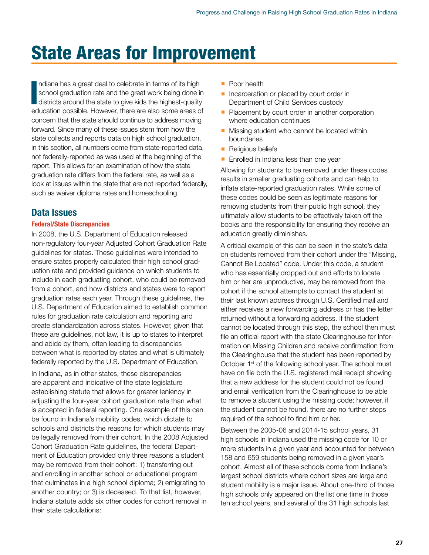# State Areas for Improvement

**I** ndiana has a great deal to celebrate in terms of its high school graduation rate and the great work being done in districts around the state to give kids the highest-quality education possible. However, there are also some areas of concern that the state should continue to address moving forward. Since many of these issues stem from how the state collects and reports data on high school graduation, in this section, all numbers come from state-reported data, not federally-reported as was used at the beginning of the report. This allows for an examination of how the state graduation rate differs from the federal rate, as well as a look at issues within the state that are not reported federally, such as waiver diploma rates and homeschooling.

# **Data Issues**

### **Federal/State Discrepancies**

In 2008, the U.S. Department of Education released non-regulatory four-year Adjusted Cohort Graduation Rate guidelines for states. These guidelines were intended to ensure states properly calculated their high school graduation rate and provided guidance on which students to include in each graduating cohort, who could be removed from a cohort, and how districts and states were to report graduation rates each year. Through these guidelines, the U.S. Department of Education aimed to establish common rules for graduation rate calculation and reporting and create standardization across states. However, given that these are guidelines, not law, it is up to states to interpret and abide by them, often leading to discrepancies between what is reported by states and what is ultimately federally reported by the U.S. Department of Education.

In Indiana, as in other states, these discrepancies are apparent and indicative of the state legislature establishing statute that allows for greater leniency in adjusting the four-year cohort graduation rate than what is accepted in federal reporting. One example of this can be found in Indiana's mobility codes, which dictate to schools and districts the reasons for which students may be legally removed from their cohort. In the 2008 Adjusted Cohort Graduation Rate guidelines, the federal Department of Education provided only three reasons a student may be removed from their cohort: 1) transferring out and enrolling in another school or educational program that culminates in a high school diploma; 2) emigrating to another country; or 3) is deceased. To that list, however, Indiana statute adds six other codes for cohort removal in their state calculations:

- Poor health
- Incarceration or placed by court order in Department of Child Services custody
- Placement by court order in another corporation where education continues
- Missing student who cannot be located within boundaries
- Religious beliefs
- Enrolled in Indiana less than one year

Allowing for students to be removed under these codes results in smaller graduating cohorts and can help to inflate state-reported graduation rates. While some of these codes could be seen as legitimate reasons for removing students from their public high school, they ultimately allow students to be effectively taken off the books and the responsibility for ensuring they receive an education greatly diminishes.

A critical example of this can be seen in the state's data on students removed from their cohort under the "Missing, Cannot Be Located" code. Under this code, a student who has essentially dropped out and efforts to locate him or her are unproductive, may be removed from the cohort if the school attempts to contact the student at their last known address through U.S. Certified mail and either receives a new forwarding address or has the letter returned without a forwarding address. If the student cannot be located through this step, the school then must file an official report with the state Clearinghouse for Information on Missing Children and receive confirmation from the Clearinghouse that the student has been reported by October 1<sup>st</sup> of the following school year. The school must have on file both the U.S. registered mail receipt showing that a new address for the student could not be found and email verification from the Clearinghouse to be able to remove a student using the missing code; however, if the student cannot be found, there are no further steps required of the school to find him or her.

Between the 2005-06 and 2014-15 school years, 31 high schools in Indiana used the missing code for 10 or more students in a given year and accounted for between 158 and 659 students being removed in a given year's cohort. Almost all of these schools come from Indiana's largest school districts where cohort sizes are large and student mobility is a major issue. About one-third of those high schools only appeared on the list one time in those ten school years, and several of the 31 high schools last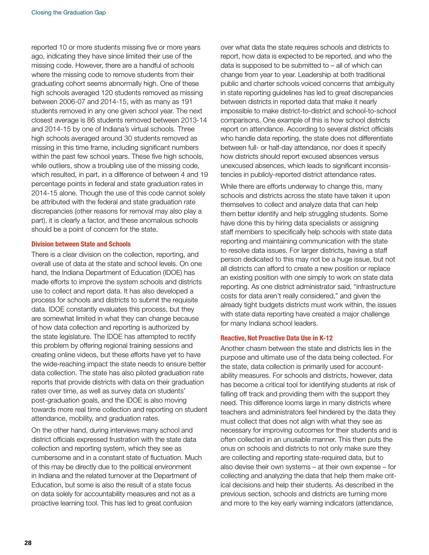reported 10 or more students missing five or more years ago, indicating they have since limited their use of the missing code. However, there are a handful of schools where the missing code to remove students from their graduating cohort seems abnormally high. One of these high schools averaged 120 students removed as missing between 2006-07 and 2014-15, with as many as 191 students removed in any one given school year. The next closest average is 86 students removed between 2013-14 and 2014-15 by one of Indiana's virtual schools. Three high schools averaged around 30 students removed as missing in this time frame, including significant numbers within the past few school years. These five high schools, while outliers, show a troubling use of the missing code, which resulted, in part, in a difference of between 4 and 19 percentage points in federal and state graduation rates in 2014-15 alone. Though the use of this code cannot solely be attributed with the federal and state graduation rate discrepancies (other reasons for removal may also play a part), it is clearly a factor, and these anomalous schools should be a point of concern for the state.

### **Division between State and Schools**

There is a clear division on the collection, reporting, and overall use of data at the state and school levels. On one hand, the Indiana Department of Education (IDOE) has made efforts to improve the system schools and districts use to collect and report data. It has also developed a process for schools and districts to submit the requisite data. IDOE constantly evaluates this process, but they are somewhat limited in what they can change because of how data collection and reporting is authorized by the state legislature. The IDOE has attempted to rectify this problem by offering regional training sessions and creating online videos, but these efforts have yet to have the wide-reaching impact the state needs to ensure better data collection. The state has also piloted graduation rate reports that provide districts with data on their graduation rates over time, as well as survey data on students' post-graduation goals, and the IDOE is also moving towards more real time collection and reporting on student attendance, mobility, and graduation rates.

On the other hand, during interviews many school and district officials expressed frustration with the state data collection and reporting system, which they see as cumbersome and in a constant state of fluctuation. Much of this may be directly due to the political environment in Indiana and the related turnover at the Department of Education, but some is also the result of a state focus on data solely for accountability measures and not as a proactive learning tool. This has led to great confusion

over what data the state requires schools and districts to report, how data is expected to be reported, and who the data is supposed to be submitted to – all of which can change from year to year. Leadership at both traditional public and charter schools voiced concerns that ambiguity in state reporting guidelines has led to great discrepancies between districts in reported data that make it nearly impossible to make district-to-district and school-to-school comparisons. One example of this is how school districts report on attendance. According to several district officials who handle data reporting, the state does not differentiate between full- or half-day attendance, nor does it specify how districts should report excused absences versus unexcused absences, which leads to significant inconsistencies in publicly-reported district attendance rates.

While there are efforts underway to change this, many schools and districts across the state have taken it upon themselves to collect and analyze data that can help them better identify and help struggling students. Some have done this by hiring data specialists or assigning staff members to specifically help schools with state data reporting and maintaining communication with the state to resolve data issues. For larger districts, having a staff person dedicated to this may not be a huge issue, but not all districts can afford to create a new position or replace an existing position with one simply to work on state data reporting. As one district administrator said, "infrastructure costs for data aren't really considered," and given the already tight budgets districts must work within, the issues with state data reporting have created a major challenge for many Indiana school leaders.

### **Reactive, Not Proactive Data Use in K-12**

Another chasm between the state and districts lies in the purpose and ultimate use of the data being collected. For the state, data collection is primarily used for accountability measures. For schools and districts, however, data has become a critical tool for identifying students at risk of falling off track and providing them with the support they need. This difference looms large in many districts where teachers and administrators feel hindered by the data they must collect that does not align with what they see as necessary for improving outcomes for their students and is often collected in an unusable manner. This then puts the onus on schools and districts to not only make sure they are collecting and reporting state-required data, but to also devise their own systems – at their own expense – for collecting and analyzing the data that help them make critical decisions and help their students. As described in the previous section, schools and districts are turning more and more to the key early warning indicators (attendance,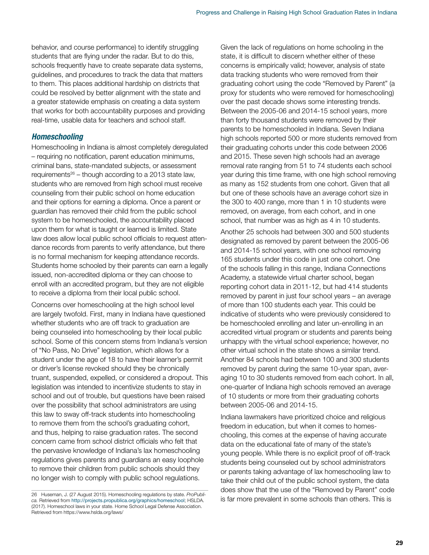behavior, and course performance) to identify struggling students that are flying under the radar. But to do this, schools frequently have to create separate data systems, guidelines, and procedures to track the data that matters to them. This places additional hardship on districts that could be resolved by better alignment with the state and a greater statewide emphasis on creating a data system that works for both accountability purposes and providing real-time, usable data for teachers and school staff.

### *Homeschooling*

Homeschooling in Indiana is almost completely deregulated – requiring no notification, parent education minimums, criminal bans, state-mandated subjects, or assessment requirements<sup>26</sup> – though according to a 2013 state law, students who are removed from high school must receive counseling from their public school on home education and their options for earning a diploma. Once a parent or guardian has removed their child from the public school system to be homeschooled, the accountability placed upon them for what is taught or learned is limited. State law does allow local public school officials to request attendance records from parents to verify attendance, but there is no formal mechanism for keeping attendance records. Students home schooled by their parents can earn a legally issued, non-accredited diploma or they can choose to enroll with an accredited program, but they are not eligible to receive a diploma from their local public school.

Concerns over homeschooling at the high school level are largely twofold. First, many in Indiana have questioned whether students who are off track to graduation are being counseled into homeschooling by their local public school. Some of this concern stems from Indiana's version of "No Pass, No Drive" legislation, which allows for a student under the age of 18 to have their learner's permit or driver's license revoked should they be chronically truant, suspended, expelled, or considered a dropout. This legislation was intended to incentivize students to stay in school and out of trouble, but questions have been raised over the possibility that school administrators are using this law to sway off-track students into homeschooling to remove them from the school's graduating cohort, and thus, helping to raise graduation rates. The second concern came from school district officials who felt that the pervasive knowledge of Indiana's lax homeschooling regulations gives parents and guardians an easy loophole to remove their children from public schools should they no longer wish to comply with public school regulations.

Given the lack of regulations on home schooling in the state, it is difficult to discern whether either of these concerns is empirically valid; however, analysis of state data tracking students who were removed from their graduating cohort using the code "Removed by Parent" (a proxy for students who were removed for homeschooling) over the past decade shows some interesting trends. Between the 2005-06 and 2014-15 school years, more than forty thousand students were removed by their parents to be homeschooled in Indiana. Seven Indiana high schools reported 500 or more students removed from their graduating cohorts under this code between 2006 and 2015. These seven high schools had an average removal rate ranging from 51 to 74 students each school year during this time frame, with one high school removing as many as 152 students from one cohort. Given that all but one of these schools have an average cohort size in the 300 to 400 range, more than 1 in 10 students were removed, on average, from each cohort, and in one school, that number was as high as 4 in 10 students.

Another 25 schools had between 300 and 500 students designated as removed by parent between the 2005-06 and 2014-15 school years, with one school removing 165 students under this code in just one cohort. One of the schools falling in this range, Indiana Connections Academy, a statewide virtual charter school, began reporting cohort data in 2011-12, but had 414 students removed by parent in just four school years – an average of more than 100 students each year. This could be indicative of students who were previously considered to be homeschooled enrolling and later un-enrolling in an accredited virtual program or students and parents being unhappy with the virtual school experience; however, no other virtual school in the state shows a similar trend. Another 84 schools had between 100 and 300 students removed by parent during the same 10-year span, averaging 10 to 30 students removed from each cohort. In all, one-quarter of Indiana high schools removed an average of 10 students or more from their graduating cohorts between 2005-06 and 2014-15.

Indiana lawmakers have prioritized choice and religious freedom in education, but when it comes to homeschooling, this comes at the expense of having accurate data on the educational fate of many of the state's young people. While there is no explicit proof of off-track students being counseled out by school administrators or parents taking advantage of lax homeschooling law to take their child out of the public school system, the data does show that the use of the "Removed by Parent" code is far more prevalent in some schools than others. This is

<sup>26</sup> Huseman, J. (27 August 2015). Homeschooling regulations by state. *ProPublica.* Retrieved from <http://projects.propublica.org/graphics/homeschool>; HSLDA. (2017). Homeschool laws in your state. Home School Legal Defense Association. Retrieved from https://www.hslda.org/laws/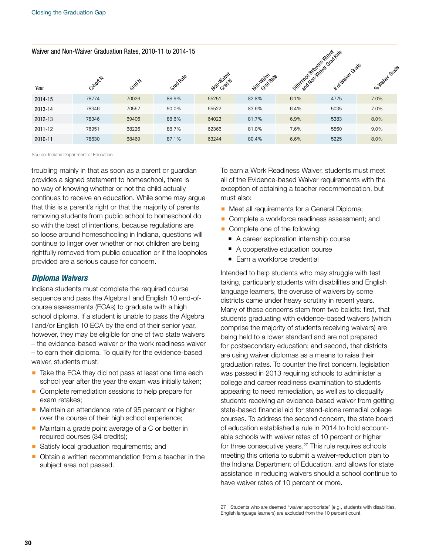| Waiver and Non-Waiver Graduation Rates, 2010-11 to 2014-15 |         |        |          |            |               |      |                                                        |                  |
|------------------------------------------------------------|---------|--------|----------|------------|---------------|------|--------------------------------------------------------|------------------|
| Year                                                       | ConortA | Gradit | GrabRate | Nor-Grad N | Non-diad Rate |      | Other and Report Maried Gab Rate<br>* of Walley Grades | olo Walles Grate |
| 2014-15                                                    | 78774   | 70026  | 88.9%    | 65251      | 82.8%         | 6.1% | 4775                                                   | 7.0%             |
| 2013-14                                                    | 78346   | 70557  | 90.0%    | 65522      | 83.6%         | 6.4% | 5035                                                   | 7.0%             |
| 2012-13                                                    | 78346   | 69406  | 88.6%    | 64023      | 81.7%         | 6.9% | 5383                                                   | 8.0%             |
| 2011-12                                                    | 76951   | 68226  | 88.7%    | 62366      | 81.0%         | 7.6% | 5860                                                   | 9.0%             |
| 2010-11                                                    | 78630   | 68469  | 87.1%    | 63244      | 80.4%         | 6.6% | 5225                                                   | 8.0%             |

Source: Indiana Department of Education

troubling mainly in that as soon as a parent or guardian provides a signed statement to homeschool, there is no way of knowing whether or not the child actually continues to receive an education. While some may argue that this is a parent's right or that the majority of parents removing students from public school to homeschool do so with the best of intentions, because regulations are so loose around homeschooling in Indiana, questions will continue to linger over whether or not children are being rightfully removed from public education or if the loopholes provided are a serious cause for concern.

### *Diploma Waivers*

Indiana students must complete the required course sequence and pass the Algebra I and English 10 end-ofcourse assessments (ECAs) to graduate with a high school diploma. If a student is unable to pass the Algebra I and/or English 10 ECA by the end of their senior year, however, they may be eligible for one of two state waivers – the evidence-based waiver or the work readiness waiver – to earn their diploma. To qualify for the evidence-based waiver, students must:

- Take the ECA they did not pass at least one time each school year after the year the exam was initially taken;
- Complete remediation sessions to help prepare for exam retakes;
- Maintain an attendance rate of 95 percent or higher over the course of their high school experience;
- Maintain a grade point average of a C or better in required courses (34 credits);
- Satisfy local graduation requirements; and
- § Obtain a written recommendation from a teacher in the subject area not passed.

To earn a Work Readiness Waiver, students must meet all of the Evidence-based Waiver requirements with the exception of obtaining a teacher recommendation, but must also:

- Meet all requirements for a General Diploma;
- Complete a workforce readiness assessment; and
- Complete one of the following:
	- A career exploration internship course
	- A cooperative education course
	- Earn a workforce credential

Intended to help students who may struggle with test taking, particularly students with disabilities and English language learners, the overuse of waivers by some districts came under heavy scrutiny in recent years. Many of these concerns stem from two beliefs: first, that students graduating with evidence-based waivers (which comprise the majority of students receiving waivers) are being held to a lower standard and are not prepared for postsecondary education; and second, that districts are using waiver diplomas as a means to raise their graduation rates. To counter the first concern, legislation was passed in 2013 requiring schools to administer a college and career readiness examination to students appearing to need remediation, as well as to disqualify students receiving an evidence-based waiver from getting state-based financial aid for stand-alone remedial college courses. To address the second concern, the state board of education established a rule in 2014 to hold accountable schools with waiver rates of 10 percent or higher for three consecutive years.<sup>27</sup> This rule requires schools meeting this criteria to submit a waiver-reduction plan to the Indiana Department of Education, and allows for state assistance in reducing waivers should a school continue to have waiver rates of 10 percent or more.

27 Students who are deemed "waiver appropriate" (e.g., students with disabilities, English language learners) are excluded from the 10 percent count.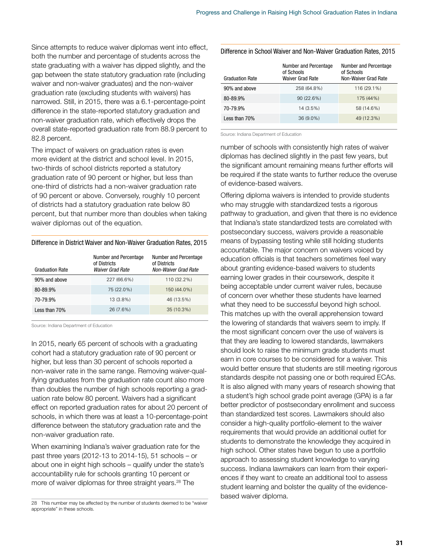Since attempts to reduce waiver diplomas went into effect, both the number and percentage of students across the state graduating with a waiver has dipped slightly, and the gap between the state statutory graduation rate (including waiver and non-waiver graduates) and the non-waiver graduation rate (excluding students with waivers) has narrowed. Still, in 2015, there was a 6.1-percentage-point difference in the state-reported statutory graduation and non-waiver graduation rate, which effectively drops the overall state-reported graduation rate from 88.9 percent to 82.8 percent.

The impact of waivers on graduation rates is even more evident at the district and school level. In 2015, two-thirds of school districts reported a statutory graduation rate of 90 percent or higher, but less than one-third of districts had a non-waiver graduation rate of 90 percent or above. Conversely, roughly 10 percent of districts had a statutory graduation rate below 80 percent, but that number more than doubles when taking waiver diplomas out of the equation.

### Difference in District Waiver and Non-Waiver Graduation Rates, 2015

| <b>Graduation Rate</b> | Number and Percentage<br>of Districts<br><b>Waiver Grad Rate</b> | Number and Percentage<br>of Districts<br>Non-Waiver Grad Rate |
|------------------------|------------------------------------------------------------------|---------------------------------------------------------------|
| 90% and above          | 227 (66.6%)                                                      | 110 (32.2%)                                                   |
| 80-89.9%               | 75 (22.0%)                                                       | 150 (44.0%)                                                   |
| 70-79.9%               | $13(3.8\%)$                                                      | 46 (13.5%)                                                    |
| Less than 70%          | 26 (7.6%)                                                        | 35 (10.3%)                                                    |
|                        |                                                                  |                                                               |

Source: Indiana Department of Education

In 2015, nearly 65 percent of schools with a graduating cohort had a statutory graduation rate of 90 percent or higher, but less than 30 percent of schools reported a non-waiver rate in the same range. Removing waiver-qualifying graduates from the graduation rate count also more than doubles the number of high schools reporting a graduation rate below 80 percent. Waivers had a significant effect on reported graduation rates for about 20 percent of schools, in which there was at least a 10-percentage-point difference between the statutory graduation rate and the non-waiver graduation rate.

When examining Indiana's waiver graduation rate for the past three years (2012-13 to 2014-15), 51 schools – or about one in eight high schools – qualify under the state's accountability rule for schools granting 10 percent or more of waiver diplomas for three straight years.<sup>28</sup> The

#### Difference in School Waiver and Non-Waiver Graduation Rates, 2015

| <b>Graduation Rate</b> | Number and Percentage<br>of Schools<br>Waiver Grad Rate | Number and Percentage<br>of Schools<br>Non-Waiver Grad Rate |
|------------------------|---------------------------------------------------------|-------------------------------------------------------------|
| 90% and above          | 258 (64.8%)                                             | 116 (29.1%)                                                 |
| 80-89.9%               | 90(22.6%)                                               | 175 (44%)                                                   |
| 70-79.9%               | 14 (3.5%)                                               | 58 (14.6%)                                                  |
| Less than 70%          | $36(9.0\%)$                                             | 49 (12.3%)                                                  |
|                        |                                                         |                                                             |

Source: Indiana Department of Education

number of schools with consistently high rates of waiver diplomas has declined slightly in the past few years, but the significant amount remaining means further efforts will be required if the state wants to further reduce the overuse of evidence-based waivers.

Offering diploma waivers is intended to provide students who may struggle with standardized tests a rigorous pathway to graduation, and given that there is no evidence that Indiana's state standardized tests are correlated with postsecondary success, waivers provide a reasonable means of bypassing testing while still holding students accountable. The major concern on waivers voiced by education officials is that teachers sometimes feel wary about granting evidence-based waivers to students earning lower grades in their coursework, despite it being acceptable under current waiver rules, because of concern over whether these students have learned what they need to be successful beyond high school. This matches up with the overall apprehension toward the lowering of standards that waivers seem to imply. If the most significant concern over the use of waivers is that they are leading to lowered standards, lawmakers should look to raise the minimum grade students must earn in core courses to be considered for a waiver. This would better ensure that students are still meeting rigorous standards despite not passing one or both required ECAs. It is also aligned with many years of research showing that a student's high school grade point average (GPA) is a far better predictor of postsecondary enrollment and success than standardized test scores. Lawmakers should also consider a high-quality portfolio-element to the waiver requirements that would provide an additional outlet for students to demonstrate the knowledge they acquired in high school. Other states have begun to use a portfolio approach to assessing student knowledge to varying success. Indiana lawmakers can learn from their experiences if they want to create an additional tool to assess student learning and bolster the quality of the evidencebased waiver diploma.

<sup>28</sup> This number may be affected by the number of students deemed to be "waiver appropriate" in these schools.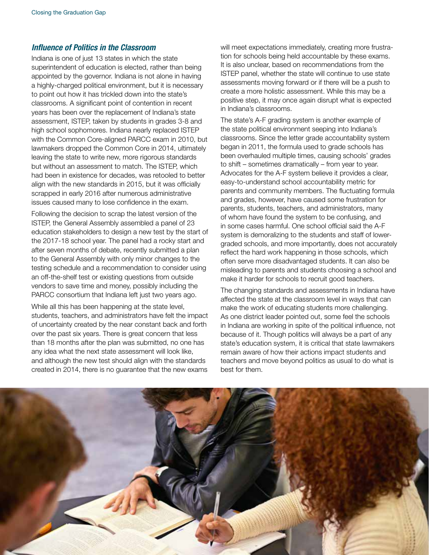### *Influence of Politics in the Classroom*

Indiana is one of just 13 states in which the state superintendent of education is elected, rather than being appointed by the governor. Indiana is not alone in having a highly-charged political environment, but it is necessary to point out how it has trickled down into the state's classrooms. A significant point of contention in recent years has been over the replacement of Indiana's state assessment, ISTEP, taken by students in grades 3-8 and high school sophomores. Indiana nearly replaced ISTEP with the Common Core-aligned PARCC exam in 2010, but lawmakers dropped the Common Core in 2014, ultimately leaving the state to write new, more rigorous standards but without an assessment to match. The ISTEP, which had been in existence for decades, was retooled to better align with the new standards in 2015, but it was officially scrapped in early 2016 after numerous administrative issues caused many to lose confidence in the exam.

Following the decision to scrap the latest version of the ISTEP, the General Assembly assembled a panel of 23 education stakeholders to design a new test by the start of the 2017-18 school year. The panel had a rocky start and after seven months of debate, recently submitted a plan to the General Assembly with only minor changes to the testing schedule and a recommendation to consider using an off-the-shelf test or existing questions from outside vendors to save time and money, possibly including the PARCC consortium that Indiana left just two years ago.

While all this has been happening at the state level, students, teachers, and administrators have felt the impact of uncertainty created by the near constant back and forth over the past six years. There is great concern that less than 18 months after the plan was submitted, no one has any idea what the next state assessment will look like, and although the new test should align with the standards created in 2014, there is no guarantee that the new exams

will meet expectations immediately, creating more frustration for schools being held accountable by these exams. It is also unclear, based on recommendations from the ISTEP panel, whether the state will continue to use state assessments moving forward or if there will be a push to create a more holistic assessment. While this may be a positive step, it may once again disrupt what is expected in Indiana's classrooms.

The state's A-F grading system is another example of the state political environment seeping into Indiana's classrooms. Since the letter grade accountability system began in 2011, the formula used to grade schools has been overhauled multiple times, causing schools' grades to shift – sometimes dramatically – from year to year. Advocates for the A-F system believe it provides a clear, easy-to-understand school accountability metric for parents and community members. The fluctuating formula and grades, however, have caused some frustration for parents, students, teachers, and administrators, many of whom have found the system to be confusing, and in some cases harmful. One school official said the A-F system is demoralizing to the students and staff of lowergraded schools, and more importantly, does not accurately reflect the hard work happening in those schools, which often serve more disadvantaged students. It can also be misleading to parents and students choosing a school and make it harder for schools to recruit good teachers.

The changing standards and assessments in Indiana have affected the state at the classroom level in ways that can make the work of educating students more challenging. As one district leader pointed out, some feel the schools in Indiana are working in spite of the political influence, not because of it. Though politics will always be a part of any state's education system, it is critical that state lawmakers remain aware of how their actions impact students and teachers and move beyond politics as usual to do what is best for them.

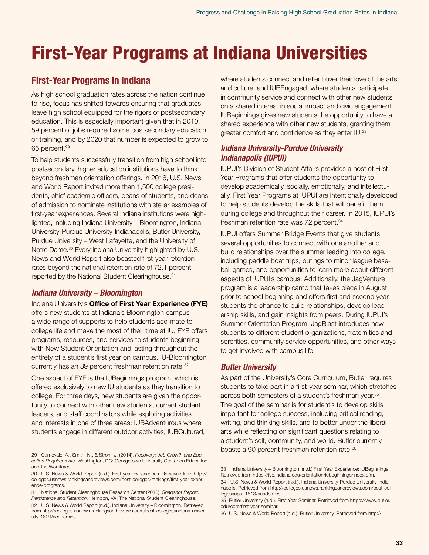# First-Year Programs at Indiana Universities

# **First-Year Programs in Indiana**

As high school graduation rates across the nation continue to rise, focus has shifted towards ensuring that graduates leave high school equipped for the rigors of postsecondary education. This is especially important given that in 2010, 59 percent of jobs required some postsecondary education or training, and by 2020 that number is expected to grow to 65 percent.29

To help students successfully transition from high school into postsecondary, higher education institutions have to think beyond freshman orientation offerings. In 2016, U.S. News and World Report invited more than 1,500 college presidents, chief academic officers, deans of students, and deans of admission to nominate institutions with stellar examples of first-year experiences. Several Indiana institutions were highlighted, including Indiana University – Bloomington, Indiana University-Purdue University-Indianapolis, Butler University, Purdue University – West Lafayette, and the University of Notre Dame.30 Every Indiana University highlighted by U.S. News and World Report also boasted first-year retention rates beyond the national retention rate of 72.1 percent reported by the National Student Clearinghouse.<sup>31</sup>

### *Indiana University – Bloomington*

Indiana University's **Office of First Year Experience (FYE)** offers new students at Indiana's Bloomington campus a wide range of supports to help students acclimate to college life and make the most of their time at IU. FYE offers programs, resources, and services to students beginning with New Student Orientation and lasting throughout the entirety of a student's first year on campus. IU-Bloomington currently has an 89 percent freshman retention rate.<sup>32</sup>

One aspect of FYE is the IUBeginnings program, which is offered exclusively to new IU students as they transition to college. For three days, new students are given the opportunity to connect with other new students, current student leaders, and staff coordinators while exploring activities and interests in one of three areas: IUBAdventurous where students engage in different outdoor activities; IUBCultured, where students connect and reflect over their love of the arts and culture; and IUBEngaged, where students participate in community service and connect with other new students on a shared interest in social impact and civic engagement. IUBeginnings gives new students the opportunity to have a shared experience with other new students, granting them greater comfort and confidence as they enter IU.33

### *Indiana University-Purdue University Indianapolis (IUPUI)*

IUPUI's Division of Student Affairs provides a host of First Year Programs that offer students the opportunity to develop academically, socially, emotionally, and intellectually. First Year Programs at IUPUI are intentionally developed to help students develop the skills that will benefit them during college and throughout their career. In 2015, IUPUI's freshman retention rate was 72 percent.34

IUPUI offers Summer Bridge Events that give students several opportunities to connect with one another and build relationships over the summer leading into college, including paddle boat trips, outings to minor league baseball games, and opportunities to learn more about different aspects of IUPUI's campus. Additionally, the JagVenture program is a leadership camp that takes place in August prior to school beginning and offers first and second year students the chance to build relationships, develop leadership skills, and gain insights from peers. During IUPUI's Summer Orientation Program, JagBlast introduces new students to different student organizations, fraternities and sororities, community service opportunities, and other ways to get involved with campus life.

### *Butler University*

As part of the University's Core Curriculum, Butler requires students to take part in a first-year seminar, which stretches across both semesters of a student's freshman year.35 The goal of the seminar is for student's to develop skills important for college success, including critical reading, writing, and thinking skills, and to better under the liberal arts while reflecting on significant questions relating to a student's self, community, and world. Butler currently boasts a 90 percent freshman retention rate.36

<sup>29</sup> Carnevale, A., Smith, N., & Strohl, J. (2014). *Recovery: Job Growth and Education Requirements.* Washington, DC: Georgetown University Center on Education and the Workforce.

<sup>30</sup> U.S. News & World Report (n.d.). First-year Experiences. Retrieved from http:// colleges.usnews.rankingsandreviews.com/best-colleges/rankings/first-year-experience-programs.

<sup>31</sup> National Student Clearinghouse Research Center (2016). *Snapshot Report: Persistence and Retention.* Herndon, VA: The National Student Clearinghouse.

<sup>32</sup> U.S. News & World Report (n.d.). Indiana University – Bloomington. Retrieved from http://colleges.usnews.rankingsandreviews.com/best-colleges/indiana-university-1809/academics.

<sup>33</sup> Indiana University – Bloomington. (n.d.) First Year Experience: IUBeginnings. Retrieved from https://fye.indiana.edu/orientation/iubeginnings/index.cfm. 34 U.S. News & World Report (n.d.). Indiana University-Purdue University-India-

napolis. Retrieved from http://colleges.usnews.rankingsandreviews.com/best-colleges/iupui-1813/academics.

<sup>35</sup> Butler University (n.d.). First Year Seminar. Retrieved from https://www.butler. edu/core/first-year-seminar.

<sup>36</sup> U.S. News & World Report (n.d.). Butler University. Retrieved from http://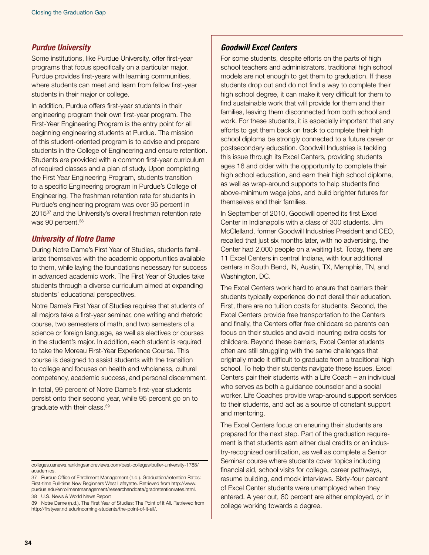### *Purdue University*

Some institutions, like Purdue University, offer first-year programs that focus specifically on a particular major. Purdue provides first-years with learning communities, where students can meet and learn from fellow first-year students in their major or college.

In addition, Purdue offers first-year students in their engineering program their own first-year program. The First-Year Engineering Program is the entry point for all beginning engineering students at Purdue. The mission of this student-oriented program is to advise and prepare students in the College of Engineering and ensure retention. Students are provided with a common first-year curriculum of required classes and a plan of study. Upon completing the First Year Engineering Program, students transition to a specific Engineering program in Purdue's College of Engineering. The freshman retention rate for students in Purdue's engineering program was over 95 percent in 2015<sup>37</sup> and the University's overall freshman retention rate was 90 percent.<sup>38</sup>

### *University of Notre Dame*

During Notre Dame's First Year of Studies, students familiarize themselves with the academic opportunities available to them, while laying the foundations necessary for success in advanced academic work. The First Year of Studies take students through a diverse curriculum aimed at expanding students' educational perspectives.

Notre Dame's First Year of Studies requires that students of all majors take a first-year seminar, one writing and rhetoric course, two semesters of math, and two semesters of a science or foreign language, as well as electives or courses in the student's major. In addition, each student is required to take the Moreau First-Year Experience Course. This course is designed to assist students with the transition to college and focuses on health and wholeness, cultural competency, academic success, and personal discernment.

In total, 99 percent of Notre Dame's first-year students persist onto their second year, while 95 percent go on to graduate with their class.39

### *Goodwill Excel Centers*

For some students, despite efforts on the parts of high school teachers and administrators, traditional high school models are not enough to get them to graduation. If these students drop out and do not find a way to complete their high school degree, it can make it very difficult for them to find sustainable work that will provide for them and their families, leaving them disconnected from both school and work. For these students, it is especially important that any efforts to get them back on track to complete their high school diploma be strongly connected to a future career or postsecondary education. Goodwill Industries is tackling this issue through its Excel Centers, providing students ages 16 and older with the opportunity to complete their high school education, and earn their high school diploma, as well as wrap-around supports to help students find above-minimum wage jobs, and build brighter futures for themselves and their families.

In September of 2010, Goodwill opened its first Excel Center in Indianapolis with a class of 300 students. Jim McClelland, former Goodwill Industries President and CEO, recalled that just six months later, with no advertising, the Center had 2,000 people on a waiting list. Today, there are 11 Excel Centers in central Indiana, with four additional centers in South Bend, IN, Austin, TX, Memphis, TN, and Washington, DC.

The Excel Centers work hard to ensure that barriers their students typically experience do not derail their education. First, there are no tuition costs for students. Second, the Excel Centers provide free transportation to the Centers and finally, the Centers offer free childcare so parents can focus on their studies and avoid incurring extra costs for childcare. Beyond these barriers, Excel Center students often are still struggling with the same challenges that originally made it difficult to graduate from a traditional high school. To help their students navigate these issues, Excel Centers pair their students with a Life Coach – an individual who serves as both a guidance counselor and a social worker. Life Coaches provide wrap-around support services to their students, and act as a source of constant support and mentoring.

The Excel Centers focus on ensuring their students are prepared for the next step. Part of the graduation requirement is that students earn either dual credits or an industry-recognized certification, as well as complete a Senior Seminar course where students cover topics including financial aid, school visits for college, career pathways, resume building, and mock interviews. Sixty-four percent of Excel Center students were unemployed when they entered. A year out, 80 percent are either employed, or in college working towards a degree.

colleges.usnews.rankingsandreviews.com/best-colleges/butler-university-1788/ academics.

<sup>37</sup> Purdue Office of Enrollment Management (n.d.). Graduation/retention Rates: First-time Full-time New Beginners West Lafayette. Retrieved from http://www. purdue.edu/enrollmentmanagement/researchanddata/gradretentionrates.html. 38 U.S. News & World News Report

<sup>39</sup> Notre Dame (n.d.). The First Year of Studies: The Point of it All. Retrieved from http://firstyear.nd.edu/incoming-students/the-point-of-it-all/.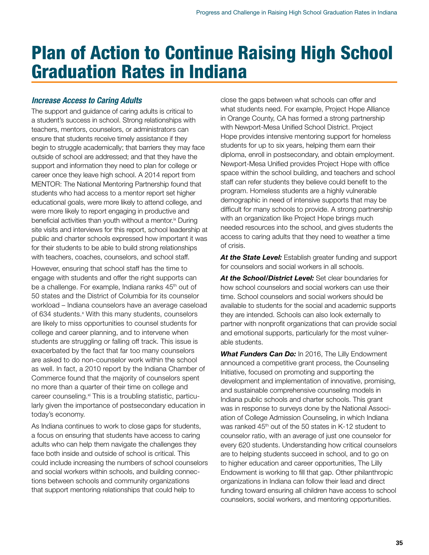# Plan of Action to Continue Raising High School Graduation Rates in Indiana

### *Increase Access to Caring Adults*

The support and guidance of caring adults is critical to a student's success in school. Strong relationships with teachers, mentors, counselors, or administrators can ensure that students receive timely assistance if they begin to struggle academically; that barriers they may face outside of school are addressed; and that they have the support and information they need to plan for college or career once they leave high school. A 2014 report from MENTOR: The National Mentoring Partnership found that students who had access to a mentor report set higher educational goals, were more likely to attend college, and were more likely to report engaging in productive and beneficial activities than youth without a mentor.<sup>ix</sup> During site visits and interviews for this report, school leadership at public and charter schools expressed how important it was for their students to be able to build strong relationships with teachers, coaches, counselors, and school staff.

However, ensuring that school staff has the time to engage with students and offer the right supports can be a challenge. For example, Indiana ranks 45<sup>th</sup> out of 50 states and the District of Columbia for its counselor workload – Indiana counselors have an average caseload of 634 students.<sup>x</sup> With this many students, counselors are likely to miss opportunities to counsel students for college and career planning, and to intervene when students are struggling or falling off track. This issue is exacerbated by the fact that far too many counselors are asked to do non-counselor work within the school as well. In fact, a 2010 report by the Indiana Chamber of Commerce found that the majority of counselors spent no more than a quarter of their time on college and career counseling.<sup>xi</sup> This is a troubling statistic, particularly given the importance of postsecondary education in today's economy.

As Indiana continues to work to close gaps for students, a focus on ensuring that students have access to caring adults who can help them navigate the challenges they face both inside and outside of school is critical. This could include increasing the numbers of school counselors and social workers within schools, and building connections between schools and community organizations that support mentoring relationships that could help to

close the gaps between what schools can offer and what students need. For example, Project Hope Alliance in Orange County, CA has formed a strong partnership with Newport-Mesa Unified School District. Project Hope provides intensive mentoring support for homeless students for up to six years, helping them earn their diploma, enroll in postsecondary, and obtain employment. Newport-Mesa Unified provides Project Hope with office space within the school building, and teachers and school staff can refer students they believe could benefit to the program. Homeless students are a highly vulnerable demographic in need of intensive supports that may be difficult for many schools to provide. A strong partnership with an organization like Project Hope brings much needed resources into the school, and gives students the access to caring adults that they need to weather a time of crisis.

*At the State Level:* Establish greater funding and support for counselors and social workers in all schools.

At the **School/District Level:** Set clear boundaries for how school counselors and social workers can use their time. School counselors and social workers should be available to students for the social and academic supports they are intended. Schools can also look externally to partner with nonprofit organizations that can provide social and emotional supports, particularly for the most vulnerable students.

*What Funders Can Do:* In 2016, The Lilly Endowment announced a competitive grant process, the Counseling Initiative, focused on promoting and supporting the development and implementation of innovative, promising, and sustainable comprehensive counseling models in Indiana public schools and charter schools. This grant was in response to surveys done by the National Association of College Admission Counseling, in which Indiana was ranked 45<sup>th</sup> out of the 50 states in K-12 student to counselor ratio, with an average of just one counselor for every 620 students. Understanding how critical counselors are to helping students succeed in school, and to go on to higher education and career opportunities, The Lilly Endowment is working to fill that gap. Other philanthropic organizations in Indiana can follow their lead and direct funding toward ensuring all children have access to school counselors, social workers, and mentoring opportunities.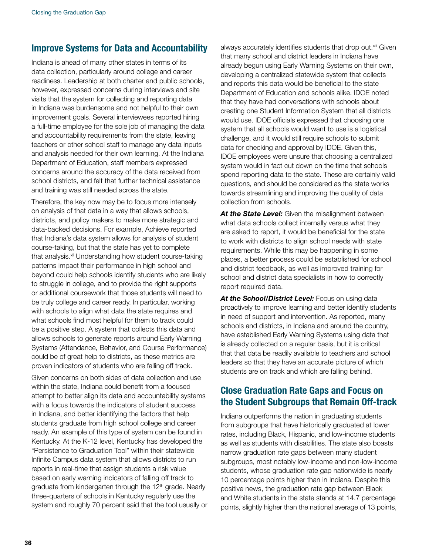# **Improve Systems for Data and Accountability**

Indiana is ahead of many other states in terms of its data collection, particularly around college and career readiness. Leadership at both charter and public schools, however, expressed concerns during interviews and site visits that the system for collecting and reporting data in Indiana was burdensome and not helpful to their own improvement goals. Several interviewees reported hiring a full-time employee for the sole job of managing the data and accountability requirements from the state, leaving teachers or other school staff to manage any data inputs and analysis needed for their own learning. At the Indiana Department of Education, staff members expressed concerns around the accuracy of the data received from school districts, and felt that further technical assistance and training was still needed across the state.

Therefore, the key now may be to focus more intensely on analysis of that data in a way that allows schools, districts, and policy makers to make more strategic and data-backed decisions. For example, Achieve reported that Indiana's data system allows for analysis of student course-taking, but that the state has yet to complete that analysis.<sup>xii</sup> Understanding how student course-taking patterns impact their performance in high school and beyond could help schools identify students who are likely to struggle in college, and to provide the right supports or additional coursework that those students will need to be truly college and career ready. In particular, working with schools to align what data the state requires and what schools find most helpful for them to track could be a positive step. A system that collects this data and allows schools to generate reports around Early Warning Systems (Attendance, Behavior, and Course Performance) could be of great help to districts, as these metrics are proven indicators of students who are falling off track.

Given concerns on both sides of data collection and use within the state, Indiana could benefit from a focused attempt to better align its data and accountability systems with a focus towards the indicators of student success in Indiana, and better identifying the factors that help students graduate from high school college and career ready. An example of this type of system can be found in Kentucky. At the K-12 level, Kentucky has developed the "Persistence to Graduation Tool" within their statewide Infinite Campus data system that allows districts to run reports in real-time that assign students a risk value based on early warning indicators of falling off track to graduate from kindergarten through the 12<sup>th</sup> grade. Nearly three-quarters of schools in Kentucky regularly use the system and roughly 70 percent said that the tool usually or always accurately identifies students that drop out. Xiii Given that many school and district leaders in Indiana have already begun using Early Warning Systems on their own, developing a centralized statewide system that collects and reports this data would be beneficial to the state Department of Education and schools alike. IDOE noted that they have had conversations with schools about creating one Student Information System that all districts would use. IDOE officials expressed that choosing one system that all schools would want to use is a logistical challenge, and it would still require schools to submit data for checking and approval by IDOE. Given this, IDOE employees were unsure that choosing a centralized system would in fact cut down on the time that schools spend reporting data to the state. These are certainly valid questions, and should be considered as the state works towards streamlining and improving the quality of data collection from schools.

*At the State Level:* Given the misalignment between what data schools collect internally versus what they are asked to report, it would be beneficial for the state to work with districts to align school needs with state requirements. While this may be happening in some places, a better process could be established for school and district feedback, as well as improved training for school and district data specialists in how to correctly report required data.

At the **School/District Level:** Focus on using data proactively to improve learning and better identify students in need of support and intervention. As reported, many schools and districts, in Indiana and around the country, have established Early Warning Systems using data that is already collected on a regular basis, but it is critical that that data be readily available to teachers and school leaders so that they have an accurate picture of which students are on track and which are falling behind.

# **Close Graduation Rate Gaps and Focus on the Student Subgroups that Remain Off-track**

Indiana outperforms the nation in graduating students from subgroups that have historically graduated at lower rates, including Black, Hispanic, and low-income students as well as students with disabilities. The state also boasts narrow graduation rate gaps between many student subgroups, most notably low-income and non-low-income students, whose graduation rate gap nationwide is nearly 10 percentage points higher than in Indiana. Despite this positive news, the graduation rate gap between Black and White students in the state stands at 14.7 percentage points, slightly higher than the national average of 13 points,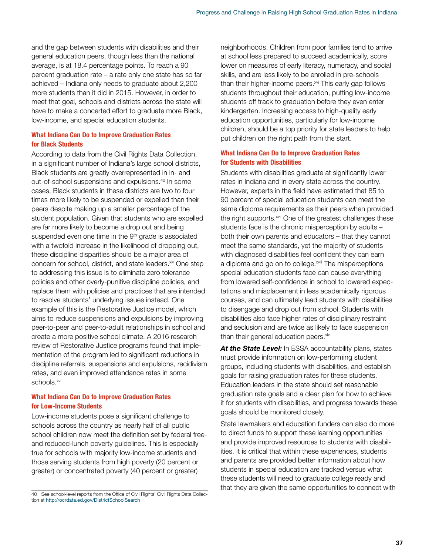and the gap between students with disabilities and their general education peers, though less than the national average, is at 18.4 percentage points. To reach a 90 percent graduation rate – a rate only one state has so far achieved – Indiana only needs to graduate about 2,200 more students than it did in 2015. However, in order to meet that goal, schools and districts across the state will have to make a concerted effort to graduate more Black, low-income, and special education students.

### **What Indiana Can Do to Improve Graduation Rates for Black Students**

According to data from the Civil Rights Data Collection, in a significant number of Indiana's large school districts, Black students are greatly overrepresented in in- and out-of-school suspensions and expulsions.<sup>40</sup> In some cases, Black students in these districts are two to four times more likely to be suspended or expelled than their peers despite making up a smaller percentage of the student population. Given that students who are expelled are far more likely to become a drop out and being suspended even one time in the  $9<sup>th</sup>$  grade is associated with a twofold increase in the likelihood of dropping out, these discipline disparities should be a major area of concern for school, district, and state leaders. xiv One step to addressing this issue is to eliminate zero tolerance policies and other overly-punitive discipline policies, and replace them with policies and practices that are intended to resolve students' underlying issues instead. One example of this is the Restorative Justice model, which aims to reduce suspensions and expulsions by improving peer-to-peer and peer-to-adult relationships in school and create a more positive school climate. A 2016 research review of Restorative Justice programs found that implementation of the program led to significant reductions in discipline referrals, suspensions and expulsions, recidivism rates, and even improved attendance rates in some schools.<sup>xv</sup>

### **What Indiana Can Do to Improve Graduation Rates for Low-Income Students**

Low-income students pose a significant challenge to schools across the country as nearly half of all public school children now meet the definition set by federal freeand reduced-lunch poverty guidelines. This is especially true for schools with majority low-income students and those serving students from high poverty (20 percent or greater) or concentrated poverty (40 percent or greater)

neighborhoods. Children from poor families tend to arrive at school less prepared to succeed academically, score lower on measures of early literacy, numeracy, and social skills, and are less likely to be enrolled in pre-schools than their higher-income peers.<sup>xvi</sup> This early gap follows students throughout their education, putting low-income students off track to graduation before they even enter kindergarten. Increasing access to high-quality early education opportunities, particularly for low-income children, should be a top priority for state leaders to help put children on the right path from the start.

### **What Indiana Can Do to Improve Graduation Rates for Students with Disabilities**

Students with disabilities graduate at significantly lower rates in Indiana and in every state across the country. However, experts in the field have estimated that 85 to 90 percent of special education students can meet the same diploma requirements as their peers when provided the right supports.<sup>xvii</sup> One of the greatest challenges these students face is the chronic misperception by adults – both their own parents and educators – that they cannot meet the same standards, yet the majority of students with diagnosed disabilities feel confident they can earn a diploma and go on to college.<sup>xviii</sup> The misperceptions special education students face can cause everything from lowered self-confidence in school to lowered expectations and misplacement in less academically rigorous courses, and can ultimately lead students with disabilities to disengage and drop out from school. Students with disabilities also face higher rates of disciplinary restraint and seclusion and are twice as likely to face suspension than their general education peers.<sup>xix</sup>

At the State Level: In ESSA accountability plans, states must provide information on low-performing student groups, including students with disabilities, and establish goals for raising graduation rates for these students. Education leaders in the state should set reasonable graduation rate goals and a clear plan for how to achieve it for students with disabilities, and progress towards these goals should be monitored closely.

State lawmakers and education funders can also do more to direct funds to support these learning opportunities and provide improved resources to students with disabilities. It is critical that within these experiences, students and parents are provided better information about how students in special education are tracked versus what these students will need to graduate college ready and that they are given the same opportunities to connect with

<sup>40</sup> See school-level reports from the Office of Civil Rights' Civil Rights Data Collection at <http://ocrdata.ed.gov/DistrictSchoolSearch>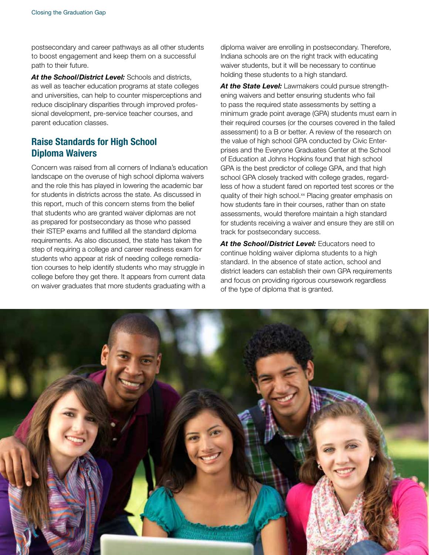postsecondary and career pathways as all other students to boost engagement and keep them on a successful path to their future.

At the **School/District Level:** Schools and districts, as well as teacher education programs at state colleges and universities, can help to counter misperceptions and reduce disciplinary disparities through improved professional development, pre-service teacher courses, and parent education classes.

# **Raise Standards for High School Diploma Waivers**

Concern was raised from all corners of Indiana's education landscape on the overuse of high school diploma waivers and the role this has played in lowering the academic bar for students in districts across the state. As discussed in this report, much of this concern stems from the belief that students who are granted waiver diplomas are not as prepared for postsecondary as those who passed their ISTEP exams and fulfilled all the standard diploma requirements. As also discussed, the state has taken the step of requiring a college and career readiness exam for students who appear at risk of needing college remediation courses to help identify students who may struggle in college before they get there. It appears from current data on waiver graduates that more students graduating with a

diploma waiver are enrolling in postsecondary. Therefore, Indiana schools are on the right track with educating waiver students, but it will be necessary to continue holding these students to a high standard.

*At the State Level:* Lawmakers could pursue strengthening waivers and better ensuring students who fail to pass the required state assessments by setting a minimum grade point average (GPA) students must earn in their required courses (or the courses covered in the failed assessment) to a B or better. A review of the research on the value of high school GPA conducted by Civic Enterprises and the Everyone Graduates Center at the School of Education at Johns Hopkins found that high school GPA is the best predictor of college GPA, and that high school GPA closely tracked with college grades, regardless of how a student fared on reported test scores or the quality of their high school.<sup>xx</sup> Placing greater emphasis on how students fare in their courses, rather than on state assessments, would therefore maintain a high standard for students receiving a waiver and ensure they are still on track for postsecondary success.

*At the School/District Level:* Educators need to continue holding waiver diploma students to a high standard. In the absence of state action, school and district leaders can establish their own GPA requirements and focus on providing rigorous coursework regardless of the type of diploma that is granted.

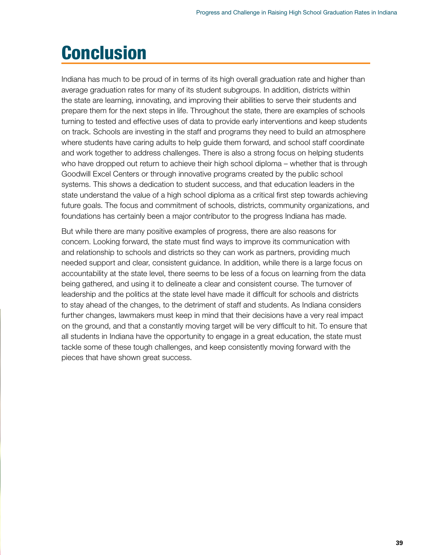# Conclusion

Indiana has much to be proud of in terms of its high overall graduation rate and higher than average graduation rates for many of its student subgroups. In addition, districts within the state are learning, innovating, and improving their abilities to serve their students and prepare them for the next steps in life. Throughout the state, there are examples of schools turning to tested and effective uses of data to provide early interventions and keep students on track. Schools are investing in the staff and programs they need to build an atmosphere where students have caring adults to help guide them forward, and school staff coordinate and work together to address challenges. There is also a strong focus on helping students who have dropped out return to achieve their high school diploma – whether that is through Goodwill Excel Centers or through innovative programs created by the public school systems. This shows a dedication to student success, and that education leaders in the state understand the value of a high school diploma as a critical first step towards achieving future goals. The focus and commitment of schools, districts, community organizations, and foundations has certainly been a major contributor to the progress Indiana has made.

But while there are many positive examples of progress, there are also reasons for concern. Looking forward, the state must find ways to improve its communication with and relationship to schools and districts so they can work as partners, providing much needed support and clear, consistent guidance. In addition, while there is a large focus on accountability at the state level, there seems to be less of a focus on learning from the data being gathered, and using it to delineate a clear and consistent course. The turnover of leadership and the politics at the state level have made it difficult for schools and districts to stay ahead of the changes, to the detriment of staff and students. As Indiana considers further changes, lawmakers must keep in mind that their decisions have a very real impact on the ground, and that a constantly moving target will be very difficult to hit. To ensure that all students in Indiana have the opportunity to engage in a great education, the state must tackle some of these tough challenges, and keep consistently moving forward with the pieces that have shown great success.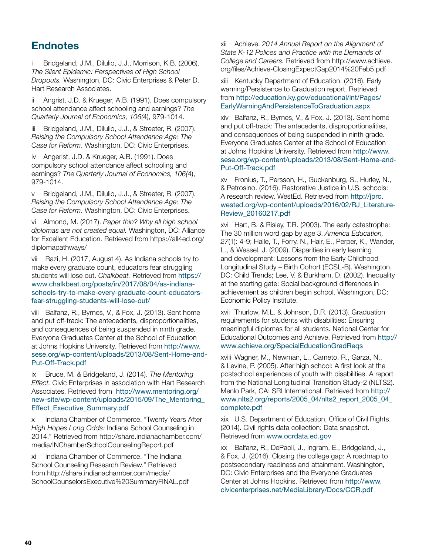# **Endnotes**

i Bridgeland, J.M., Dilulio, J.J., Morrison, K.B. (2006). *The Silent Epidemic: Perspectives of High School Dropouts.* Washington, DC: Civic Enterprises & Peter D. Hart Research Associates.

ii Angrist, J.D. & Krueger, A.B. (1991). Does compulsory school attendance affect schooling and earnings? *The Quarterly Journal of Economics, 106(*4), 979-1014.

iii Bridgeland, J.M., Dilulio, J.J., & Streeter, R. (2007). *Raising the Compulsory School Attendance Age: The Case for Reform.* Washington, DC: Civic Enterprises.

iv Angerist, J.D. & Krueger, A.B. (1991). Does compulsory school attendance affect schooling and earnings? *The Quarterly Journal of Economics, 106(*4), 979-1014.

v Bridgeland, J.M., Dilulio, J.J., & Streeter, R. (2007). *Raising the Compulsory School Attendance Age: The Case for Reform.* Washington, DC: Civic Enterprises.

vi Almond, M. (2017). *Paper thin? Why all high school diplomas are not created equal.* Washington, DC: Alliance for Excellent Education. Retrieved from https://all4ed.org/ diplomapathways/

vii Razi, H. (2017, August 4). As Indiana schools try to make every graduate count, educators fear struggling students will lose out. *Chalkbeat.* Retrieved from [https://](https://www.chalkbeat.org/posts/in/2017/08/04/as-indiana-schools-try-to-make-every-graduate-count-educators-fear-struggling-students-will-lose-out/) [www.chalkbeat.org/posts/in/2017/08/04/as-indiana](https://www.chalkbeat.org/posts/in/2017/08/04/as-indiana-schools-try-to-make-every-graduate-count-educators-fear-struggling-students-will-lose-out/)[schools-try-to-make-every-graduate-count-educators](https://www.chalkbeat.org/posts/in/2017/08/04/as-indiana-schools-try-to-make-every-graduate-count-educators-fear-struggling-students-will-lose-out/)[fear-struggling-students-will-lose-out/](https://www.chalkbeat.org/posts/in/2017/08/04/as-indiana-schools-try-to-make-every-graduate-count-educators-fear-struggling-students-will-lose-out/)

viii Balfanz, R., Byrnes, V., & Fox, J. (2013). Sent home and put off-track: The antecedents, disproportionalities, and consequences of being suspended in ninth grade. Everyone Graduates Center at the School of Education at Johns Hopkins University. Retrieved from [http://www.](http://www.sese.org/wp-content/uploads/2013/08/Sent-Home-and-Put-Off-Track.pdf) [sese.org/wp-content/uploads/2013/08/Sent-Home-and-](http://www.sese.org/wp-content/uploads/2013/08/Sent-Home-and-Put-Off-Track.pdf)[Put-Off-Track.pdf](http://www.sese.org/wp-content/uploads/2013/08/Sent-Home-and-Put-Off-Track.pdf)

ix Bruce, M. & Bridgeland, J. (2014). *The Mentoring Effect.* Civic Enterprises in association with Hart Research Associates. Retrieved from [http://www.mentoring.org/](http://www.mentoring.org/new-site/wp-content/uploads/2015/09/The_Mentoring_Effect_Executive_Summary.pdf) [new-site/wp-content/uploads/2015/09/The\\_Mentoring\\_](http://www.mentoring.org/new-site/wp-content/uploads/2015/09/The_Mentoring_Effect_Executive_Summary.pdf) [Effect\\_Executive\\_Summary.pdf](http://www.mentoring.org/new-site/wp-content/uploads/2015/09/The_Mentoring_Effect_Executive_Summary.pdf)

x Indiana Chamber of Commerce. "Twenty Years After *High Hopes Long Odds:* Indiana School Counseling in 2014." Retrieved from http://share.indianachamber.com/ media/INChamberSchoolCounselingReport.pdf

xi Indiana Chamber of Commerce. "The Indiana School Counseling Research Review." Retrieved from http://share.indianachamber.com/media/ SchoolCounselorsExecutive%20SummaryFINAL.pdf xii Achieve. *2014 Annual Report on the Alignment of State K-12 Polices and Practice with the Demands of College and Careers.* Retrieved from http://www.achieve. org/files/Achieve-ClosingExpectGap2014%20Feb5.pdf

Kentucky Department of Education. (2016). Early warning/Persistence to Graduation report. Retrieved from [http://education.ky.gov/educational/int/Pages/](http://education.ky.gov/educational/int/Pages/EarlyWarningAndPersistenceToGraduation.aspx) [EarlyWarningAndPersistenceToGraduation.aspx](http://education.ky.gov/educational/int/Pages/EarlyWarningAndPersistenceToGraduation.aspx)

xiv Balfanz, R., Byrnes, V., & Fox, J. (2013). Sent home and put off-track: The antecedents, disproportionalities, and consequences of being suspended in ninth grade. Everyone Graduates Center at the School of Education at Johns Hopkins University. Retrieved from [http://www.](http://www.sese.org/wp-content/uploads/2013/08/Sent-Home-and-Put-Off-Track.pdf) [sese.org/wp-content/uploads/2013/08/Sent-Home-and-](http://www.sese.org/wp-content/uploads/2013/08/Sent-Home-and-Put-Off-Track.pdf)[Put-Off-Track.pdf](http://www.sese.org/wp-content/uploads/2013/08/Sent-Home-and-Put-Off-Track.pdf)

xv Fronius, T., Persson, H., Guckenburg, S., Hurley, N., & Petrosino. (2016). Restorative Justice in U.S. schools: A research review. WestEd. Retrieved from [http://jprc.](http://jprc.wested.org/wp-content/uploads/2016/02/RJ_Literature-Review_20160217.pdf) [wested.org/wp-content/uploads/2016/02/RJ\\_Literature-](http://jprc.wested.org/wp-content/uploads/2016/02/RJ_Literature-Review_20160217.pdf)[Review\\_20160217.pdf](http://jprc.wested.org/wp-content/uploads/2016/02/RJ_Literature-Review_20160217.pdf)

xvi Hart, B. & Risley, T.R. (2003). The early catastrophe: The 30 million word gap by age 3. *America Education, 27*(1): 4-9; Halle, T., Forry, N., Hair, E., Perper, K., Wander, L., & Wessel, J. (2009). Disparities in early learning and development: Lessons from the Early Childhood Longitudinal Study – Birth Cohort (ECSL-B). Washington, DC: Child Trends; Lee, V. & Burkham, D. (2002). Inequality at the starting gate: Social background differences in achievement as children begin school. Washington, DC: Economic Policy Institute.

xvii Thurlow, M.L. & Johnson, D.R. (2013). Graduation requirements for students with disabilities: Ensuring meaningful diplomas for all students. National Center for Educational Outcomes and Achieve. Retrieved from [http://](http://www.achieve.org/SpecialEducationGradReqs) [www.achieve.org/SpecialEducationGradReqs](http://www.achieve.org/SpecialEducationGradReqs)

xviii Wagner, M., Newman, L., Cameto, R., Garza, N., & Levine, P. (2005). After high school: A first look at the postschool experiences of youth with disabilities. A report from the National Longitudinal Transition Study-2 (NLTS2). Menlo Park, CA: SRI International. Retrieved from [http://](http://www.nlts2.org/reports/2005_04/nlts2_report_2005_04_complete.pdf) [www.nlts2.org/reports/2005\\_04/nlts2\\_report\\_2005\\_04\\_](http://www.nlts2.org/reports/2005_04/nlts2_report_2005_04_complete.pdf) [complete.pdf](http://www.nlts2.org/reports/2005_04/nlts2_report_2005_04_complete.pdf)

xix U.S. Department of Education, Office of Civil Rights. (2014). Civil rights data collection: Data snapshot. Retrieved from [www.ocrdata.ed.gov](http://www.ocrdata.ed.gov)

xx Balfanz, R., DePaoli, J., Ingram, E., Bridgeland, J., & Fox, J. (2016). Closing the college gap: A roadmap to postsecondary readiness and attainment. Washington, DC: Civic Enterprises and the Everyone Graduates Center at Johns Hopkins. Retrieved from [http://www.](http://www.civicenterprises.net/MediaLibrary/Docs/CCR.pdf) [civicenterprises.net/MediaLibrary/Docs/CCR.pdf](http://www.civicenterprises.net/MediaLibrary/Docs/CCR.pdf)